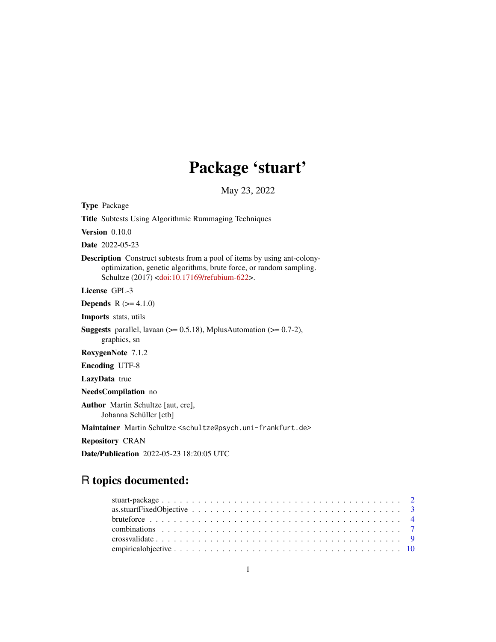# Package 'stuart'

May 23, 2022

<span id="page-0-0"></span>Type Package

Title Subtests Using Algorithmic Rummaging Techniques

Version 0.10.0

Date 2022-05-23

Description Construct subtests from a pool of items by using ant-colonyoptimization, genetic algorithms, brute force, or random sampling. Schultze (2017) [<doi:10.17169/refubium-622>](https://doi.org/10.17169/refubium-622).

License GPL-3

**Depends** R  $(>= 4.1.0)$ 

Imports stats, utils

**Suggests** parallel, lavaan  $(>= 0.5.18)$ , MplusAutomation  $(>= 0.7-2)$ , graphics, sn

RoxygenNote 7.1.2

Encoding UTF-8

LazyData true

NeedsCompilation no

Author Martin Schultze [aut, cre], Johanna Schüller [ctb]

Maintainer Martin Schultze <schultze@psych.uni-frankfurt.de>

Repository CRAN

Date/Publication 2022-05-23 18:20:05 UTC

# R topics documented: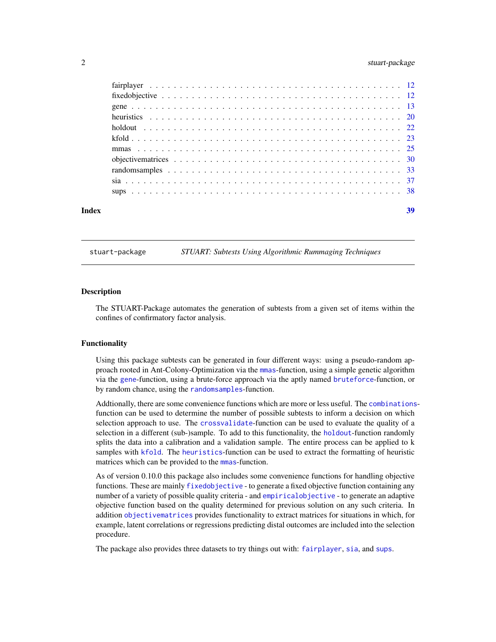# <span id="page-1-0"></span>2 stuart-package 3 stuart-package 3 stuart-package 3 stuart-package 3 stuart-package 3 stuart-package 3 stuart-package 3 stuart-package 3 stuart-package 3 stuart-package 3 stuart-package 3 stuart-package 3 stuart-package 3

| Index | 39 |
|-------|----|
|       |    |
|       |    |
|       |    |
|       |    |
|       |    |
|       |    |
|       |    |
|       |    |
|       |    |
|       |    |
|       |    |

stuart-package *STUART: Subtests Using Algorithmic Rummaging Techniques*

#### **Description**

The STUART-Package automates the generation of subtests from a given set of items within the confines of confirmatory factor analysis.

#### Functionality

Using this package subtests can be generated in four different ways: using a pseudo-random approach rooted in Ant-Colony-Optimization via the [mmas](#page-24-1)-function, using a simple genetic algorithm via the [gene](#page-12-1)-function, using a brute-force approach via the aptly named [bruteforce](#page-3-1)-function, or by random chance, using the [randomsamples](#page-32-1)-function.

Addtionally, there are some convenience functions which are more or less useful. The [combinations](#page-6-1)function can be used to determine the number of possible subtests to inform a decision on which selection approach to use. The [crossvalidate](#page-8-1)-function can be used to evaluate the quality of a selection in a different (sub-)sample. To add to this functionality, the [holdout](#page-21-1)-function randomly splits the data into a calibration and a validation sample. The entire process can be applied to k samples with [kfold](#page-22-1). The [heuristics](#page-19-1)-function can be used to extract the formatting of heuristic matrices which can be provided to the **numeral** function.

As of version 0.10.0 this package also includes some convenience functions for handling objective functions. These are mainly [fixedobjective](#page-11-1) - to generate a fixed objective function containing any number of a variety of possible quality criteria - and [empiricalobjective](#page-9-1) - to generate an adaptive objective function based on the quality determined for previous solution on any such criteria. In addition [objectivematrices](#page-29-1) provides functionality to extract matrices for situations in which, for example, latent correlations or regressions predicting distal outcomes are included into the selection procedure.

The package also provides three datasets to try things out with: [fairplayer](#page-11-2), [sia](#page-36-1), and [sups](#page-37-1).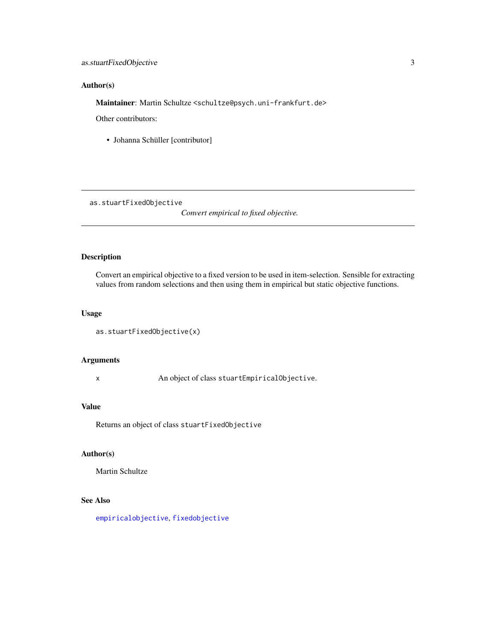# <span id="page-2-0"></span>Author(s)

Maintainer: Martin Schultze <schultze@psych.uni-frankfurt.de>

Other contributors:

• Johanna Schüller [contributor]

as.stuartFixedObjective

*Convert empirical to fixed objective.*

# Description

Convert an empirical objective to a fixed version to be used in item-selection. Sensible for extracting values from random selections and then using them in empirical but static objective functions.

### Usage

```
as.stuartFixedObjective(x)
```
# Arguments

x An object of class stuartEmpiricalObjective.

#### Value

Returns an object of class stuartFixedObjective

### Author(s)

Martin Schultze

# See Also

[empiricalobjective](#page-9-1), [fixedobjective](#page-11-1)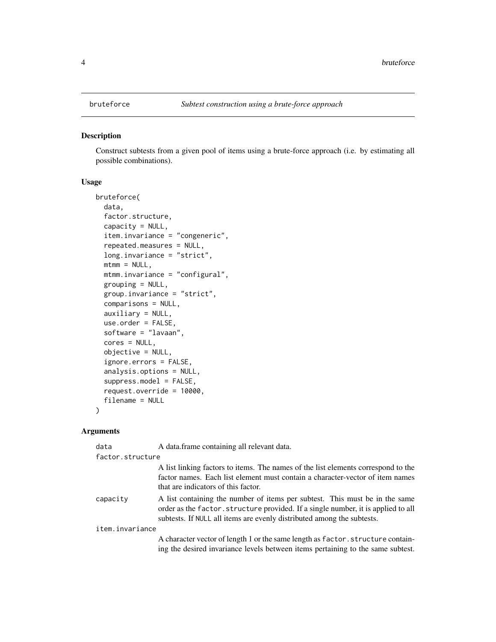<span id="page-3-1"></span><span id="page-3-0"></span>

#### Description

Construct subtests from a given pool of items using a brute-force approach (i.e. by estimating all possible combinations).

#### Usage

```
bruteforce(
  data,
  factor.structure,
  capacity = NULL,
  item.invariance = "congeneric",
  repeated.measures = NULL,
  long.invariance = "strict",
 mtmm = NULL,mtmm.invariance = "configural",
  grouping = NULL,group.invariance = "strict",
  comparisons = NULL,
  auxiliary = NULL,
  use.order = FALSE,
  software = "lavaan",
  cores = NULL,
  objective = NULL,
  ignore.errors = FALSE,
  analysis.options = NULL,
  suppress.model = FALSE,
  request.override = 10000,
  filename = NULL
\mathcal{L}
```
#### Arguments

| data             | A data.frame containing all relevant data.                                                                                                                                                                                                 |
|------------------|--------------------------------------------------------------------------------------------------------------------------------------------------------------------------------------------------------------------------------------------|
| factor.structure |                                                                                                                                                                                                                                            |
|                  | A list linking factors to items. The names of the list elements correspond to the<br>factor names. Each list element must contain a character-vector of item names<br>that are indicators of this factor.                                  |
| capacity         | A list containing the number of items per subtest. This must be in the same<br>order as the factor. structure provided. If a single number, it is applied to all<br>subtests. If NULL all items are evenly distributed among the subtests. |
| item.invariance  |                                                                                                                                                                                                                                            |
|                  | A character vector of length 1 or the same length as factor structure contain-<br>ing the desired invariance levels between items pertaining to the same subtest.                                                                          |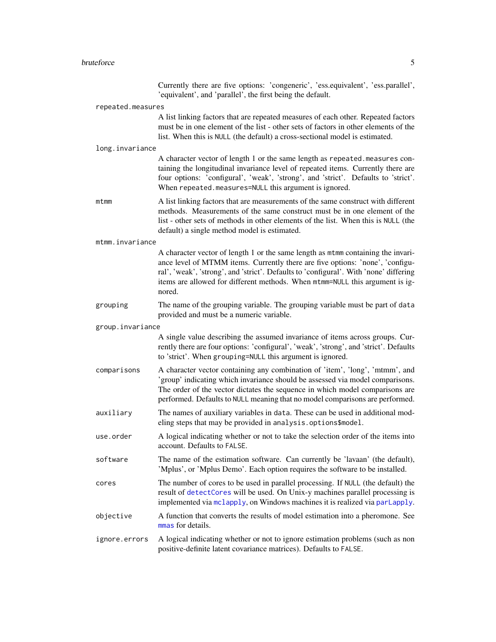# <span id="page-4-0"></span>bruteforce 5

|                   | Currently there are five options: 'congeneric', 'ess.equivalent', 'ess.parallel',<br>'equivalent', and 'parallel', the first being the default.                                                                                                                                                                                                      |
|-------------------|------------------------------------------------------------------------------------------------------------------------------------------------------------------------------------------------------------------------------------------------------------------------------------------------------------------------------------------------------|
| repeated.measures |                                                                                                                                                                                                                                                                                                                                                      |
|                   | A list linking factors that are repeated measures of each other. Repeated factors<br>must be in one element of the list - other sets of factors in other elements of the<br>list. When this is NULL (the default) a cross-sectional model is estimated.                                                                                              |
| long.invariance   |                                                                                                                                                                                                                                                                                                                                                      |
|                   | A character vector of length 1 or the same length as repeated.measures con-<br>taining the longitudinal invariance level of repeated items. Currently there are<br>four options: 'configural', 'weak', 'strong', and 'strict'. Defaults to 'strict'.<br>When repeated.measures=NULL this argument is ignored.                                        |
| mtmm              | A list linking factors that are measurements of the same construct with different<br>methods. Measurements of the same construct must be in one element of the<br>list - other sets of methods in other elements of the list. When this is NULL (the<br>default) a single method model is estimated.                                                 |
| mtmm.invariance   |                                                                                                                                                                                                                                                                                                                                                      |
|                   | A character vector of length 1 or the same length as mtmm containing the invari-<br>ance level of MTMM items. Currently there are five options: 'none', 'configu-<br>ral', 'weak', 'strong', and 'strict'. Defaults to 'configural'. With 'none' differing<br>items are allowed for different methods. When mtmm=NULL this argument is ig-<br>nored. |
| grouping          | The name of the grouping variable. The grouping variable must be part of data<br>provided and must be a numeric variable.                                                                                                                                                                                                                            |
| group.invariance  |                                                                                                                                                                                                                                                                                                                                                      |
|                   | A single value describing the assumed invariance of items across groups. Cur-<br>rently there are four options: 'configural', 'weak', 'strong', and 'strict'. Defaults<br>to 'strict'. When grouping=NULL this argument is ignored.                                                                                                                  |
| comparisons       | A character vector containing any combination of 'item', 'long', 'mtmm', and<br>'group' indicating which invariance should be assessed via model comparisons.<br>The order of the vector dictates the sequence in which model comparisons are<br>performed. Defaults to NULL meaning that no model comparisons are performed.                        |
| auxiliary         | The names of auxiliary variables in data. These can be used in additional mod-<br>eling steps that may be provided in analysis.options\$model.                                                                                                                                                                                                       |
| use.order         | A logical indicating whether or not to take the selection order of the items into<br>account. Defaults to FALSE.                                                                                                                                                                                                                                     |
| software          | The name of the estimation software. Can currently be 'lavaan' (the default),<br>'Mplus', or 'Mplus Demo'. Each option requires the software to be installed.                                                                                                                                                                                        |
| cores             | The number of cores to be used in parallel processing. If NULL (the default) the<br>result of detectCores will be used. On Unix-y machines parallel processing is<br>implemented via mclapply, on Windows machines it is realized via parlapply.                                                                                                     |
| objective         | A function that converts the results of model estimation into a pheromone. See<br>mmas for details.                                                                                                                                                                                                                                                  |
| ignore.errors     | A logical indicating whether or not to ignore estimation problems (such as non<br>positive-definite latent covariance matrices). Defaults to FALSE.                                                                                                                                                                                                  |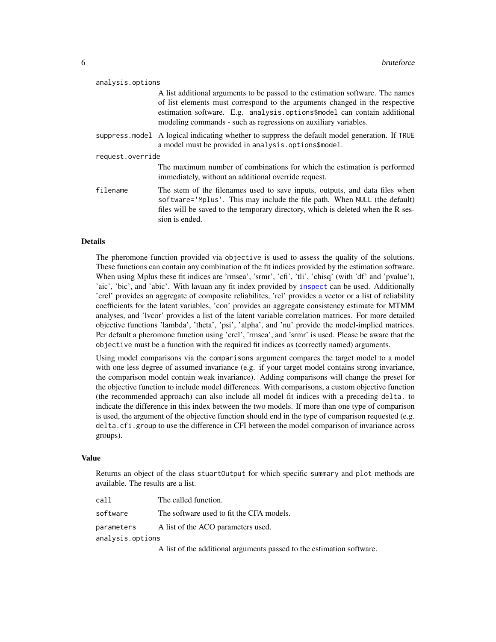<span id="page-5-0"></span>

| analysis.options |                                                                                                                                                                                                                                                                                                              |  |  |  |
|------------------|--------------------------------------------------------------------------------------------------------------------------------------------------------------------------------------------------------------------------------------------------------------------------------------------------------------|--|--|--|
|                  | A list additional arguments to be passed to the estimation software. The names<br>of list elements must correspond to the arguments changed in the respective<br>estimation software. E.g. analysis.options\$model can contain additional<br>modeling commands - such as regressions on auxiliary variables. |  |  |  |
|                  | suppress model A logical indicating whether to suppress the default model generation. If TRUE<br>a model must be provided in analysis.options\$model.                                                                                                                                                        |  |  |  |
| request.override |                                                                                                                                                                                                                                                                                                              |  |  |  |
|                  | The maximum number of combinations for which the estimation is performed<br>immediately, without an additional override request.                                                                                                                                                                             |  |  |  |
| filename         | The stem of the filenames used to save inputs, outputs, and data files when<br>software='Mplus'. This may include the file path. When NULL (the default)<br>files will be saved to the temporary directory, which is deleted when the R ses-<br>sion is ended.                                               |  |  |  |

#### Details

The pheromone function provided via objective is used to assess the quality of the solutions. These functions can contain any combination of the fit indices provided by the estimation software. When using Mplus these fit indices are 'rmsea', 'srmr', 'cfi', 'tli', 'chisq' (with 'df' and 'pvalue'), 'aic', 'bic', and 'abic'. With lavaan any fit index provided by [inspect](#page-0-0) can be used. Additionally 'crel' provides an aggregate of composite reliabilites, 'rel' provides a vector or a list of reliability coefficients for the latent variables, 'con' provides an aggregate consistency estimate for MTMM analyses, and 'lvcor' provides a list of the latent variable correlation matrices. For more detailed objective functions 'lambda', 'theta', 'psi', 'alpha', and 'nu' provide the model-implied matrices. Per default a pheromone function using 'crel', 'rmsea', and 'srmr' is used. Please be aware that the objective must be a function with the required fit indices as (correctly named) arguments.

Using model comparisons via the comparisons argument compares the target model to a model with one less degree of assumed invariance (e.g. if your target model contains strong invariance, the comparison model contain weak invariance). Adding comparisons will change the preset for the objective function to include model differences. With comparisons, a custom objective function (the recommended approach) can also include all model fit indices with a preceding delta. to indicate the difference in this index between the two models. If more than one type of comparison is used, the argument of the objective function should end in the type of comparison requested (e.g. delta.cfi.group to use the difference in CFI between the model comparison of invariance across groups).

#### Value

Returns an object of the class stuartOutput for which specific summary and plot methods are available. The results are a list.

| call             | The called function.                                                  |
|------------------|-----------------------------------------------------------------------|
| software         | The software used to fit the CFA models.                              |
| parameters       | A list of the ACO parameters used.                                    |
| analysis.options |                                                                       |
|                  | A list of the additional arguments passed to the estimation software. |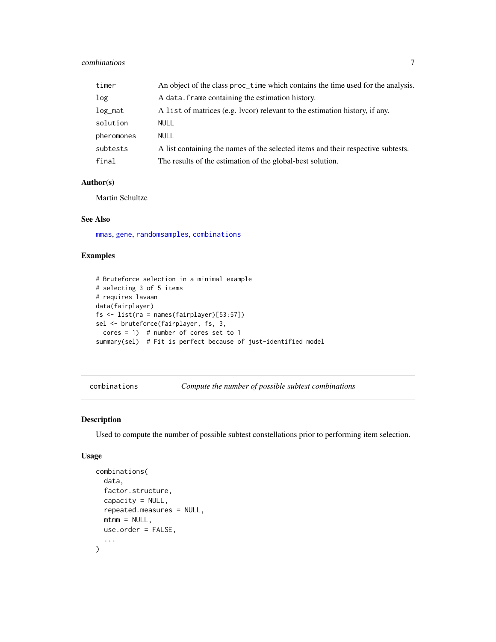# <span id="page-6-0"></span>combinations 7

| timer      | An object of the class proc_time which contains the time used for the analysis.  |
|------------|----------------------------------------------------------------------------------|
| log        | A data. Frame containing the estimation history.                                 |
| $log\_mat$ | A list of matrices (e.g. lvcor) relevant to the estimation history, if any.      |
| solution   | NULL                                                                             |
| pheromones | NULL                                                                             |
| subtests   | A list containing the names of the selected items and their respective subtests. |
| final      | The results of the estimation of the global-best solution.                       |

# Author(s)

Martin Schultze

# See Also

[mmas](#page-24-1), [gene](#page-12-1), [randomsamples](#page-32-1), [combinations](#page-6-1)

# Examples

```
# Bruteforce selection in a minimal example
# selecting 3 of 5 items
# requires lavaan
data(fairplayer)
fs <- list(ra = names(fairplayer)[53:57])
sel <- bruteforce(fairplayer, fs, 3,
  cores = 1) # number of cores set to 1
summary(sel) # Fit is perfect because of just-identified model
```
<span id="page-6-1"></span>combinations *Compute the number of possible subtest combinations*

#### Description

Used to compute the number of possible subtest constellations prior to performing item selection.

#### Usage

```
combinations(
  data,
  factor.structure,
  capacity = NULL,repeated.measures = NULL,
 mtmm = NULL,use.order = FALSE,
  ...
\mathcal{L}
```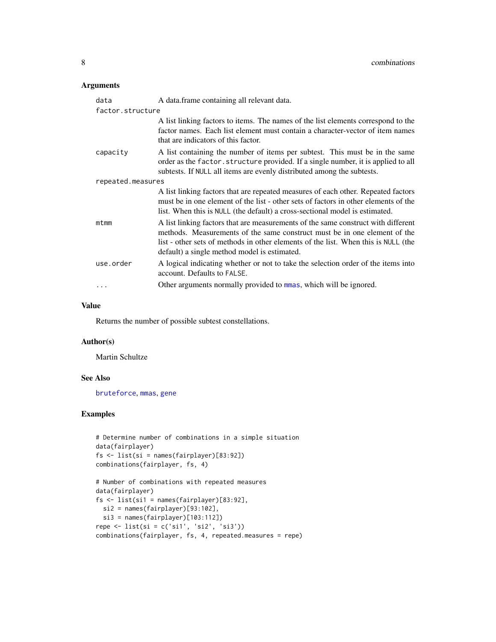# <span id="page-7-0"></span>Arguments

| data              | A data. frame containing all relevant data.                                                                                                                                                                                                                                                          |
|-------------------|------------------------------------------------------------------------------------------------------------------------------------------------------------------------------------------------------------------------------------------------------------------------------------------------------|
| factor.structure  |                                                                                                                                                                                                                                                                                                      |
|                   | A list linking factors to items. The names of the list elements correspond to the<br>factor names. Each list element must contain a character-vector of item names<br>that are indicators of this factor.                                                                                            |
| capacity          | A list containing the number of items per subtest. This must be in the same<br>order as the factor. structure provided. If a single number, it is applied to all<br>subtests. If NULL all items are evenly distributed among the subtests.                                                           |
| repeated.measures |                                                                                                                                                                                                                                                                                                      |
|                   | A list linking factors that are repeated measures of each other. Repeated factors<br>must be in one element of the list - other sets of factors in other elements of the<br>list. When this is NULL (the default) a cross-sectional model is estimated.                                              |
| $m$ t $mn$        | A list linking factors that are measurements of the same construct with different<br>methods. Measurements of the same construct must be in one element of the<br>list - other sets of methods in other elements of the list. When this is NULL (the<br>default) a single method model is estimated. |
| use.order         | A logical indicating whether or not to take the selection order of the items into<br>account. Defaults to FALSE.                                                                                                                                                                                     |
|                   | Other arguments normally provided to minas, which will be ignored.                                                                                                                                                                                                                                   |

# Value

Returns the number of possible subtest constellations.

### Author(s)

Martin Schultze

# See Also

[bruteforce](#page-3-1), [mmas](#page-24-1), [gene](#page-12-1)

# Examples

```
# Determine number of combinations in a simple situation
data(fairplayer)
fs <- list(si = names(fairplayer)[83:92])
combinations(fairplayer, fs, 4)
```

```
# Number of combinations with repeated measures
data(fairplayer)
fs <- list(si1 = names(fairplayer)[83:92],
 si2 = names(fairplayer)[93:102],
  si3 = names(fairplayer)[103:112])
repe <- list(si = c('si1', 'si2', 'si3'))
combinations(fairplayer, fs, 4, repeated.measures = repe)
```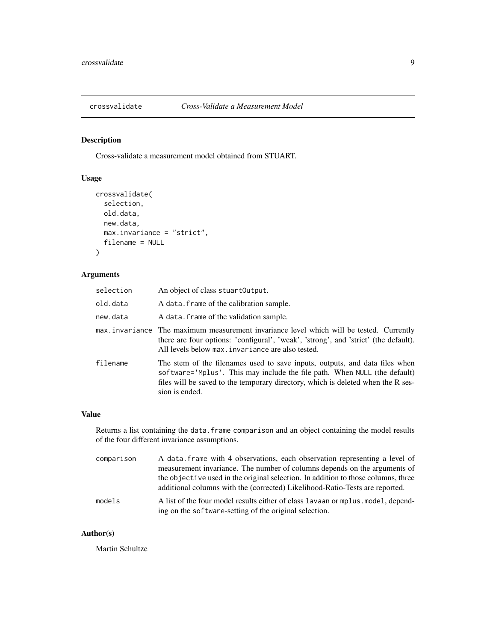<span id="page-8-1"></span><span id="page-8-0"></span>

# Description

Cross-validate a measurement model obtained from STUART.

# Usage

```
crossvalidate(
  selection,
  old.data,
  new.data,
  max.invariance = "strict",
  filename = NULL
\mathcal{L}
```
# Arguments

| selection | An object of class stuart Output.                                                                                                                                                                                                                              |
|-----------|----------------------------------------------------------------------------------------------------------------------------------------------------------------------------------------------------------------------------------------------------------------|
| old.data  | A data. frame of the calibration sample.                                                                                                                                                                                                                       |
| new.data  | A data. frame of the validation sample.                                                                                                                                                                                                                        |
|           | max.invariance The maximum measurement invariance level which will be tested. Currently<br>there are four options: 'configural', 'weak', 'strong', and 'strict' (the default).<br>All levels below max. invariance are also tested.                            |
| filename  | The stem of the filenames used to save inputs, outputs, and data files when<br>software='Mplus'. This may include the file path. When NULL (the default)<br>files will be saved to the temporary directory, which is deleted when the R ses-<br>sion is ended. |

# Value

Returns a list containing the data.frame comparison and an object containing the model results of the four different invariance assumptions.

| comparison | A data frame with 4 observations, each observation representing a level of<br>measurement invariance. The number of columns depends on the arguments of           |
|------------|-------------------------------------------------------------------------------------------------------------------------------------------------------------------|
|            | the objective used in the original selection. In addition to those columns, three<br>additional columns with the (corrected) Likelihood-Ratio-Tests are reported. |
| models     | A list of the four model results either of class lavaan or mplus model, depend-<br>ing on the software-setting of the original selection.                         |

# Author(s)

Martin Schultze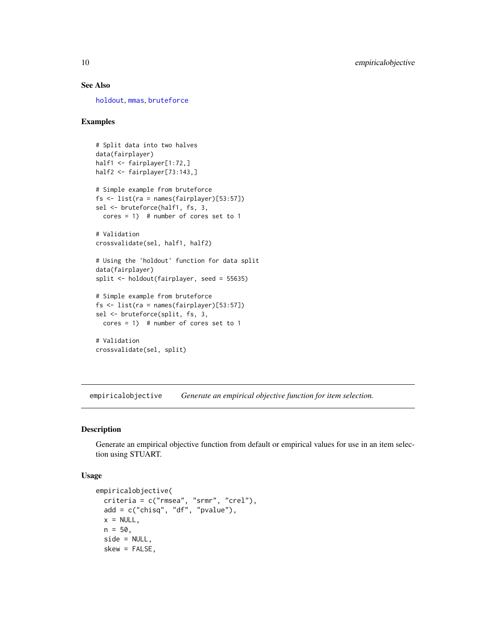# See Also

[holdout](#page-21-1), [mmas](#page-24-1), [bruteforce](#page-3-1)

# Examples

```
# Split data into two halves
data(fairplayer)
half1 <- fairplayer[1:72,]
half2 <- fairplayer[73:143,]
# Simple example from bruteforce
fs <- list(ra = names(fairplayer)[53:57])
sel <- bruteforce(half1, fs, 3,
  cores = 1) # number of cores set to 1
# Validation
crossvalidate(sel, half1, half2)
# Using the 'holdout' function for data split
data(fairplayer)
split <- holdout(fairplayer, seed = 55635)
# Simple example from bruteforce
fs <- list(ra = names(fairplayer)[53:57])
sel <- bruteforce(split, fs, 3,
  cores = 1) # number of cores set to 1
# Validation
crossvalidate(sel, split)
```
<span id="page-9-1"></span>empiricalobjective *Generate an empirical objective function for item selection.*

# Description

Generate an empirical objective function from default or empirical values for use in an item selection using STUART.

#### Usage

```
empiricalobjective(
 criteria = c("rmsea", "srmr", "crel"),
 add = c("chisq", "df", "pvalue"),x = NULL,
 n = 50,
  side = NULL,
  skew = FALSE,
```
<span id="page-9-0"></span>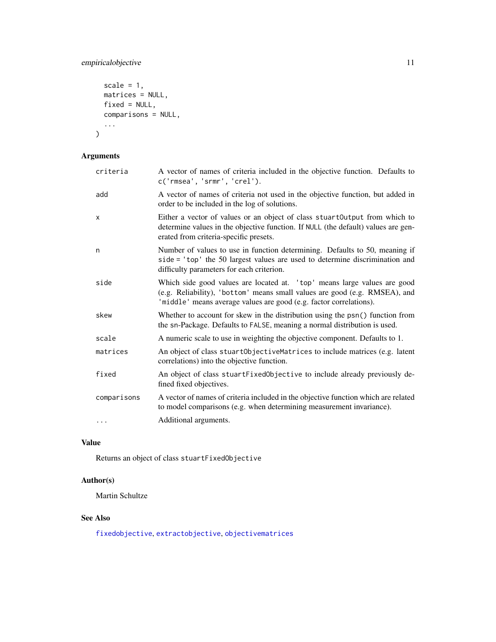# <span id="page-10-0"></span>empiricalobjective 11

```
scale = 1,
  matrices = NULL,
  fixed = NULL,comparisons = NULL,
  ...
\mathcal{L}
```
# Arguments

| criteria    | A vector of names of criteria included in the objective function. Defaults to<br>c('rmsea', 'srmr', 'crel').                                                                                                                 |
|-------------|------------------------------------------------------------------------------------------------------------------------------------------------------------------------------------------------------------------------------|
| add         | A vector of names of criteria not used in the objective function, but added in<br>order to be included in the log of solutions.                                                                                              |
| x           | Either a vector of values or an object of class stuartOutput from which to<br>determine values in the objective function. If NULL (the default) values are gen-<br>erated from criteria-specific presets.                    |
| n           | Number of values to use in function determining. Defaults to 50, meaning if<br>side = 'top' the 50 largest values are used to determine discrimination and<br>difficulty parameters for each criterion.                      |
| side        | Which side good values are located at. 'top' means large values are good<br>(e.g. Reliability), 'bottom' means small values are good (e.g. RMSEA), and<br>'middle' means average values are good (e.g. factor correlations). |
| skew        | Whether to account for skew in the distribution using the psn() function from<br>the sn-Package. Defaults to FALSE, meaning a normal distribution is used.                                                                   |
| scale       | A numeric scale to use in weighting the objective component. Defaults to 1.                                                                                                                                                  |
| matrices    | An object of class stuart Objective Matrices to include matrices (e.g. latent<br>correlations) into the objective function.                                                                                                  |
| fixed       | An object of class stuartFixedObjective to include already previously de-<br>fined fixed objectives.                                                                                                                         |
| comparisons | A vector of names of criteria included in the objective function which are related<br>to model comparisons (e.g. when determining measurement invariance).                                                                   |
| $\cdots$    | Additional arguments.                                                                                                                                                                                                        |

# Value

Returns an object of class stuartFixedObjective

# Author(s)

Martin Schultze

# See Also

[fixedobjective](#page-11-1), [extractobjective](#page-0-0), [objectivematrices](#page-29-1)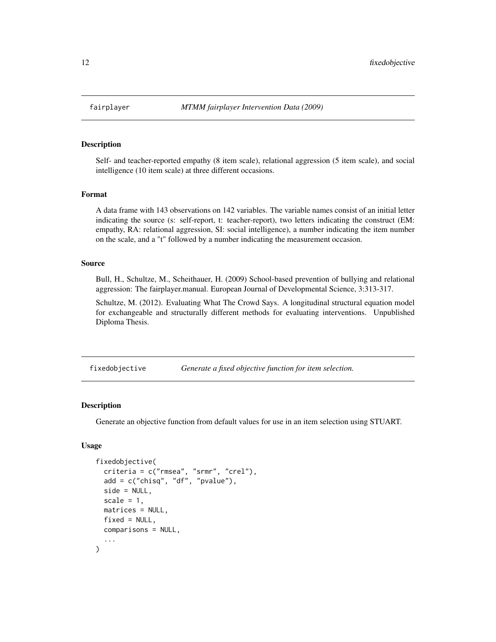<span id="page-11-2"></span><span id="page-11-0"></span>

#### **Description**

Self- and teacher-reported empathy (8 item scale), relational aggression (5 item scale), and social intelligence (10 item scale) at three different occasions.

#### Format

A data frame with 143 observations on 142 variables. The variable names consist of an initial letter indicating the source (s: self-report, t: teacher-report), two letters indicating the construct (EM: empathy, RA: relational aggression, SI: social intelligence), a number indicating the item number on the scale, and a "t" followed by a number indicating the measurement occasion.

#### Source

Bull, H., Schultze, M., Scheithauer, H. (2009) School-based prevention of bullying and relational aggression: The fairplayer.manual. European Journal of Developmental Science, 3:313-317.

Schultze, M. (2012). Evaluating What The Crowd Says. A longitudinal structural equation model for exchangeable and structurally different methods for evaluating interventions. Unpublished Diploma Thesis.

<span id="page-11-1"></span>fixedobjective *Generate a fixed objective function for item selection.*

#### Description

Generate an objective function from default values for use in an item selection using STUART.

# Usage

```
fixedobjective(
  criteria = c("rmsea", "srmr", "crel"),
  add = c("chisq", "df", "pvalue"),
  side = NULL,
  scale = 1,
 matrices = NULL,
  fixed = NULL,
  comparisons = NULL,
  ...
)
```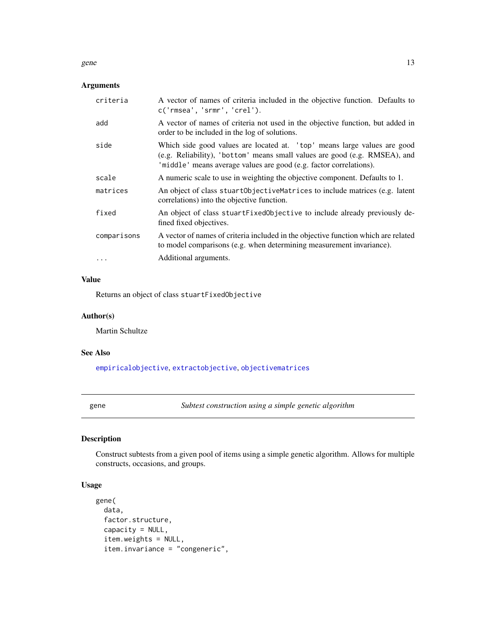#### <span id="page-12-0"></span>gene and the set of the set of the set of the set of the set of the set of the set of the set of the set of the set of the set of the set of the set of the set of the set of the set of the set of the set of the set of the

# Arguments

| criteria    | A vector of names of criteria included in the objective function. Defaults to<br>c('rmsea', 'srmr', 'crel').                                                                                                                 |
|-------------|------------------------------------------------------------------------------------------------------------------------------------------------------------------------------------------------------------------------------|
| add         | A vector of names of criteria not used in the objective function, but added in<br>order to be included in the log of solutions.                                                                                              |
| side        | Which side good values are located at. 'top' means large values are good<br>(e.g. Reliability), 'bottom' means small values are good (e.g. RMSEA), and<br>'middle' means average values are good (e.g. factor correlations). |
| scale       | A numeric scale to use in weighting the objective component. Defaults to 1.                                                                                                                                                  |
| matrices    | An object of class stuartObjectiveMatrices to include matrices (e.g. latent<br>correlations) into the objective function.                                                                                                    |
| fixed       | An object of class stuartFixedObjective to include already previously de-<br>fined fixed objectives.                                                                                                                         |
| comparisons | A vector of names of criteria included in the objective function which are related<br>to model comparisons (e.g. when determining measurement invariance).                                                                   |
| $\cdots$    | Additional arguments.                                                                                                                                                                                                        |

# Value

Returns an object of class stuartFixedObjective

#### Author(s)

Martin Schultze

# See Also

[empiricalobjective](#page-9-1), [extractobjective](#page-0-0), [objectivematrices](#page-29-1)

<span id="page-12-1"></span>gene *Subtest construction using a simple genetic algorithm*

# Description

Construct subtests from a given pool of items using a simple genetic algorithm. Allows for multiple constructs, occasions, and groups.

# Usage

```
gene(
 data,
 factor.structure,
 capacity = NULL,
  item.weights = NULL,
  item.invariance = "congeneric",
```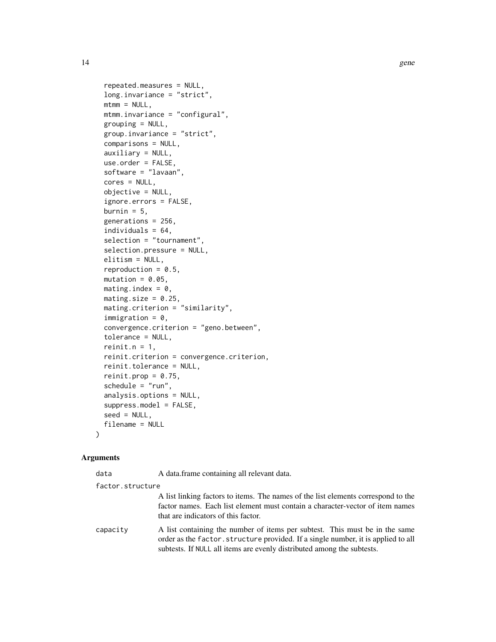```
repeated.measures = NULL,
  long.invariance = "strict",
 mtmm = NULL,mtmm.invariance = "configural",
  grouping = NULL,
  group.invariance = "strict",
  comparisons = NULL,
  auxiliary = NULL,
 use.order = FALSE,
  software = "lavaan",
  cores = NULL,
  objective = NULL,
  ignore.errors = FALSE,
  burnin = 5,
  generations = 256,
  individuals = 64,
  selection = "tournament",
  selection.pressure = NULL,
 elitism = NULL,
  reproduction = 0.5,
 mutation = 0.05,
 mating.index = 0,
 mating.size = 0.25,
 mating.criterion = "similarity",
  immigration = 0,convergence.criterion = "geno.between",
  tolerance = NULL,
  reinit.n = 1,
  reinit.criterion = convergence.criterion,
  reinit.tolerance = NULL,
  reinit.prop = 0.75,
  schedule = "run",analysis.options = NULL,
  suppress.model = FALSE,
  seed = NULL,
  filename = NULL
)
```
#### Arguments

| data             | A data.frame containing all relevant data.                                                                                                                                                                                                 |
|------------------|--------------------------------------------------------------------------------------------------------------------------------------------------------------------------------------------------------------------------------------------|
| factor.structure |                                                                                                                                                                                                                                            |
|                  | A list linking factors to items. The names of the list elements correspond to the<br>factor names. Each list element must contain a character-vector of item names<br>that are indicators of this factor.                                  |
| capacity         | A list containing the number of items per subtest. This must be in the same<br>order as the factor, structure provided. If a single number, it is applied to all<br>subtests. If NULL all items are evenly distributed among the subtests. |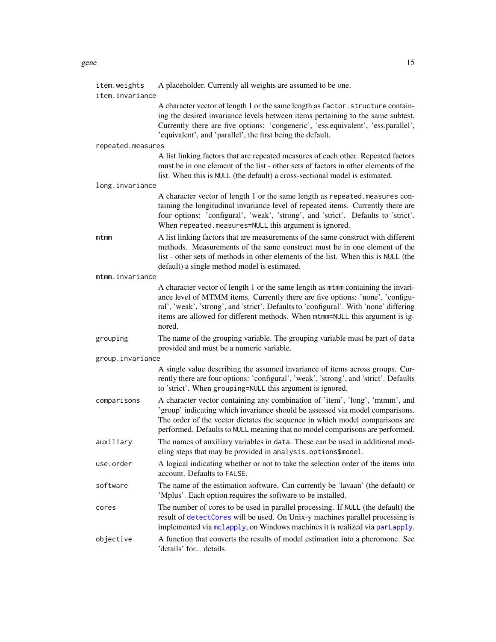<span id="page-14-0"></span>

| item.weights      | A placeholder. Currently all weights are assumed to be one.                                                                                                                                                                                                                                                                                          |  |
|-------------------|------------------------------------------------------------------------------------------------------------------------------------------------------------------------------------------------------------------------------------------------------------------------------------------------------------------------------------------------------|--|
| item.invariance   |                                                                                                                                                                                                                                                                                                                                                      |  |
|                   | A character vector of length 1 or the same length as factor. structure contain-<br>ing the desired invariance levels between items pertaining to the same subtest.<br>Currently there are five options: 'congeneric', 'ess.equivalent', 'ess.parallel',<br>'equivalent', and 'parallel', the first being the default.                                |  |
| repeated.measures |                                                                                                                                                                                                                                                                                                                                                      |  |
|                   | A list linking factors that are repeated measures of each other. Repeated factors<br>must be in one element of the list - other sets of factors in other elements of the<br>list. When this is NULL (the default) a cross-sectional model is estimated.                                                                                              |  |
| long.invariance   |                                                                                                                                                                                                                                                                                                                                                      |  |
|                   | A character vector of length 1 or the same length as repeated measures con-<br>taining the longitudinal invariance level of repeated items. Currently there are<br>four options: 'configural', 'weak', 'strong', and 'strict'. Defaults to 'strict'.<br>When repeated.measures=NULL this argument is ignored.                                        |  |
| mtmm              | A list linking factors that are measurements of the same construct with different<br>methods. Measurements of the same construct must be in one element of the<br>list - other sets of methods in other elements of the list. When this is NULL (the<br>default) a single method model is estimated.                                                 |  |
| mtmm.invariance   |                                                                                                                                                                                                                                                                                                                                                      |  |
|                   | A character vector of length 1 or the same length as mtmm containing the invari-<br>ance level of MTMM items. Currently there are five options: 'none', 'configu-<br>ral', 'weak', 'strong', and 'strict'. Defaults to 'configural'. With 'none' differing<br>items are allowed for different methods. When mtmm=NULL this argument is ig-<br>nored. |  |
| grouping          | The name of the grouping variable. The grouping variable must be part of data<br>provided and must be a numeric variable.                                                                                                                                                                                                                            |  |
| group.invariance  |                                                                                                                                                                                                                                                                                                                                                      |  |
|                   | A single value describing the assumed invariance of items across groups. Cur-<br>rently there are four options: 'configural', 'weak', 'strong', and 'strict'. Defaults<br>to 'strict'. When grouping=NULL this argument is ignored.                                                                                                                  |  |
| comparisons       | A character vector containing any combination of 'item', 'long', 'mtmm', and<br>'group' indicating which invariance should be assessed via model comparisons.<br>The order of the vector dictates the sequence in which model comparisons are<br>performed. Defaults to NULL meaning that no model comparisons are performed.                        |  |
| auxiliary         | The names of auxiliary variables in data. These can be used in additional mod-<br>eling steps that may be provided in analysis.options\$model.                                                                                                                                                                                                       |  |
| use.order         | A logical indicating whether or not to take the selection order of the items into<br>account. Defaults to FALSE.                                                                                                                                                                                                                                     |  |
| software          | The name of the estimation software. Can currently be 'lavaan' (the default) or<br>'Mplus'. Each option requires the software to be installed.                                                                                                                                                                                                       |  |
| cores             | The number of cores to be used in parallel processing. If NULL (the default) the<br>result of detectCores will be used. On Unix-y machines parallel processing is<br>implemented via mclapply, on Windows machines it is realized via parlapply.                                                                                                     |  |
| objective         | A function that converts the results of model estimation into a pheromone. See<br>'details' for details.                                                                                                                                                                                                                                             |  |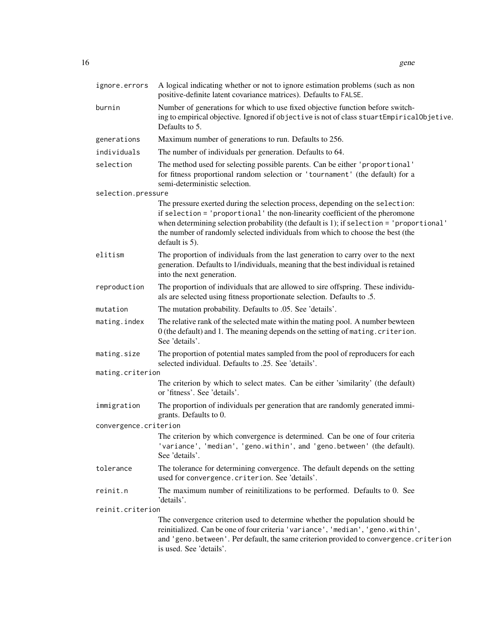| ignore.errors         | A logical indicating whether or not to ignore estimation problems (such as non<br>positive-definite latent covariance matrices). Defaults to FALSE.                                                                                                                                                                                                            |
|-----------------------|----------------------------------------------------------------------------------------------------------------------------------------------------------------------------------------------------------------------------------------------------------------------------------------------------------------------------------------------------------------|
| burnin                | Number of generations for which to use fixed objective function before switch-<br>ing to empirical objective. Ignored if objective is not of class stuartEmpiricalObjetive.<br>Defaults to 5.                                                                                                                                                                  |
| generations           | Maximum number of generations to run. Defaults to 256.                                                                                                                                                                                                                                                                                                         |
| individuals           | The number of individuals per generation. Defaults to 64.                                                                                                                                                                                                                                                                                                      |
| selection             | The method used for selecting possible parents. Can be either 'proportional'<br>for fitness proportional random selection or 'tournament' (the default) for a<br>semi-deterministic selection.                                                                                                                                                                 |
| selection.pressure    |                                                                                                                                                                                                                                                                                                                                                                |
|                       | The pressure exerted during the selection process, depending on the selection:<br>if selection = 'proportional' the non-linearity coefficient of the pheromone<br>when determining selection probability (the default is 1); if selection = 'proportional'<br>the number of randomly selected individuals from which to choose the best (the<br>default is 5). |
| elitism               | The proportion of individuals from the last generation to carry over to the next<br>generation. Defaults to 1/individuals, meaning that the best individual is retained<br>into the next generation.                                                                                                                                                           |
| reproduction          | The proportion of individuals that are allowed to sire offspring. These individu-<br>als are selected using fitness proportionate selection. Defaults to .5.                                                                                                                                                                                                   |
| mutation              | The mutation probability. Defaults to .05. See 'details'.                                                                                                                                                                                                                                                                                                      |
| mating.index          | The relative rank of the selected mate within the mating pool. A number bewteen<br>0 (the default) and 1. The meaning depends on the setting of mating. criterion.<br>See 'details'.                                                                                                                                                                           |
| mating.size           | The proportion of potential mates sampled from the pool of reproducers for each<br>selected individual. Defaults to .25. See 'details'.                                                                                                                                                                                                                        |
| mating.criterion      |                                                                                                                                                                                                                                                                                                                                                                |
|                       | The criterion by which to select mates. Can be either 'similarity' (the default)<br>or 'fitness'. See 'details'.                                                                                                                                                                                                                                               |
| immigration           | The proportion of individuals per generation that are randomly generated immi-<br>grants. Defaults to 0.                                                                                                                                                                                                                                                       |
| convergence.criterion |                                                                                                                                                                                                                                                                                                                                                                |
|                       | The criterion by which convergence is determined. Can be one of four criteria<br>'variance', 'median', 'geno.within', and 'geno.between' (the default).<br>See 'details'.                                                                                                                                                                                      |
| tolerance             | The tolerance for determining convergence. The default depends on the setting<br>used for convergence.criterion. See 'details'.                                                                                                                                                                                                                                |
| reinit.n              | The maximum number of reinitilizations to be performed. Defaults to 0. See<br>'details'.                                                                                                                                                                                                                                                                       |
| reinit.criterion      |                                                                                                                                                                                                                                                                                                                                                                |
|                       | The convergence criterion used to determine whether the population should be<br>reinitialized. Can be one of four criteria 'variance', 'median', 'geno.within',<br>and 'geno.between'. Per default, the same criterion provided to convergence.criterion<br>is used. See 'details'.                                                                            |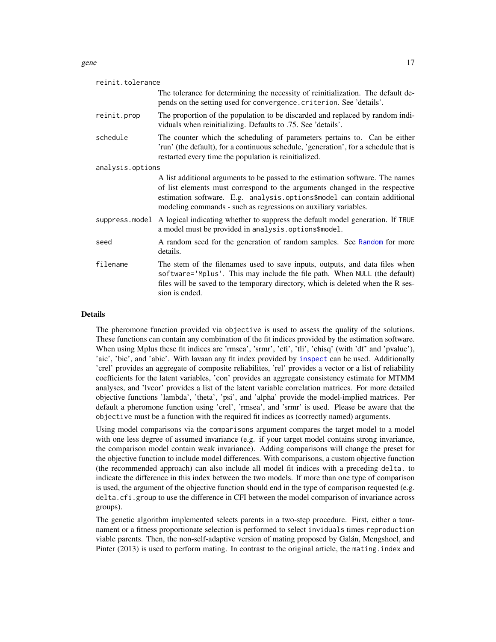#### <span id="page-16-0"></span>gene that the set of the set of the set of the set of the set of the set of the set of the set of the set of the set of the set of the set of the set of the set of the set of the set of the set of the set of the set of the

| The tolerance for determining the necessity of reinitialization. The default de-<br>pends on the setting used for convergence. criterion. See 'details'.<br>The proportion of the population to be discarded and replaced by random indi-<br>viduals when reinitializing. Defaults to .75. See 'details'.    |
|--------------------------------------------------------------------------------------------------------------------------------------------------------------------------------------------------------------------------------------------------------------------------------------------------------------|
|                                                                                                                                                                                                                                                                                                              |
|                                                                                                                                                                                                                                                                                                              |
| The counter which the scheduling of parameters pertains to. Can be either<br>'run' (the default), for a continuous schedule, 'generation', for a schedule that is<br>restarted every time the population is reinitialized.                                                                                   |
|                                                                                                                                                                                                                                                                                                              |
| A list additional arguments to be passed to the estimation software. The names<br>of list elements must correspond to the arguments changed in the respective<br>estimation software. E.g. analysis.options\$model can contain additional<br>modeling commands - such as regressions on auxiliary variables. |
| A logical indicating whether to suppress the default model generation. If TRUE<br>a model must be provided in analysis.options\$model.                                                                                                                                                                       |
| A random seed for the generation of random samples. See Random for more                                                                                                                                                                                                                                      |
| The stem of the filenames used to save inputs, outputs, and data files when<br>software='Mplus'. This may include the file path. When NULL (the default)<br>files will be saved to the temporary directory, which is deleted when the R ses-<br>sion is ended.                                               |
|                                                                                                                                                                                                                                                                                                              |

#### Details

The pheromone function provided via objective is used to assess the quality of the solutions. These functions can contain any combination of the fit indices provided by the estimation software. When using Mplus these fit indices are 'rmsea', 'srmr', 'cfi', 'tli', 'chisq' (with 'df' and 'pvalue'), 'aic', 'bic', and 'abic'. With lavaan any fit index provided by [inspect](#page-0-0) can be used. Additionally 'crel' provides an aggregate of composite reliabilites, 'rel' provides a vector or a list of reliability coefficients for the latent variables, 'con' provides an aggregate consistency estimate for MTMM analyses, and 'lvcor' provides a list of the latent variable correlation matrices. For more detailed objective functions 'lambda', 'theta', 'psi', and 'alpha' provide the model-implied matrices. Per default a pheromone function using 'crel', 'rmsea', and 'srmr' is used. Please be aware that the objective must be a function with the required fit indices as (correctly named) arguments.

Using model comparisons via the comparisons argument compares the target model to a model with one less degree of assumed invariance (e.g. if your target model contains strong invariance, the comparison model contain weak invariance). Adding comparisons will change the preset for the objective function to include model differences. With comparisons, a custom objective function (the recommended approach) can also include all model fit indices with a preceding delta. to indicate the difference in this index between the two models. If more than one type of comparison is used, the argument of the objective function should end in the type of comparison requested (e.g. delta.cfi.group to use the difference in CFI between the model comparison of invariance across groups).

The genetic algorithm implemented selects parents in a two-step procedure. First, either a tournament or a fitness proportionate selection is performed to select inviduals times reproduction viable parents. Then, the non-self-adaptive version of mating proposed by Galán, Mengshoel, and Pinter (2013) is used to perform mating. In contrast to the original article, the mating.index and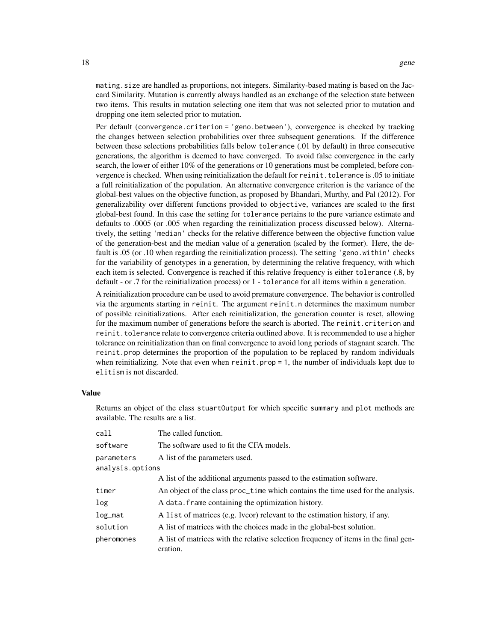mating.size are handled as proportions, not integers. Similarity-based mating is based on the Jaccard Similarity. Mutation is currently always handled as an exchange of the selection state between two items. This results in mutation selecting one item that was not selected prior to mutation and dropping one item selected prior to mutation.

Per default (convergence.criterion = 'geno.between'), convergence is checked by tracking the changes between selection probabilities over three subsequent generations. If the difference between these selections probabilities falls below tolerance (.01 by default) in three consecutive generations, the algorithm is deemed to have converged. To avoid false convergence in the early search, the lower of either 10% of the generations or 10 generations must be completed, before convergence is checked. When using reinitialization the default for reinit.tolerance is .05 to initiate a full reinitialization of the population. An alternative convergence criterion is the variance of the global-best values on the objective function, as proposed by Bhandari, Murthy, and Pal (2012). For generalizability over different functions provided to objective, variances are scaled to the first global-best found. In this case the setting for tolerance pertains to the pure variance estimate and defaults to .0005 (or .005 when regarding the reinitialization process discussed below). Alternatively, the setting 'median' checks for the relative difference between the objective function value of the generation-best and the median value of a generation (scaled by the former). Here, the default is .05 (or .10 when regarding the reinitialization process). The setting 'geno.within' checks for the variability of genotypes in a generation, by determining the relative frequency, with which each item is selected. Convergence is reached if this relative frequency is either tolerance (.8, by default - or .7 for the reinitialization process) or 1 - tolerance for all items within a generation.

A reinitialization procedure can be used to avoid premature convergence. The behavior is controlled via the arguments starting in reinit. The argument reinit.n determines the maximum number of possible reinitializations. After each reinitialization, the generation counter is reset, allowing for the maximum number of generations before the search is aborted. The reinit.criterion and reinit. tolerance relate to convergence criteria outlined above. It is recommended to use a higher tolerance on reinitialization than on final convergence to avoid long periods of stagnant search. The reinit.prop determines the proportion of the population to be replaced by random individuals when reinitializing. Note that even when reinit.prop  $= 1$ , the number of individuals kept due to elitism is not discarded.

### Value

Returns an object of the class stuartOutput for which specific summary and plot methods are available. The results are a list.

| call             | The called function.                                                                            |
|------------------|-------------------------------------------------------------------------------------------------|
| software         | The software used to fit the CFA models.                                                        |
| parameters       | A list of the parameters used.                                                                  |
| analysis.options |                                                                                                 |
|                  | A list of the additional arguments passed to the estimation software.                           |
| timer            | An object of the class proc_time which contains the time used for the analysis.                 |
| log              | A data. frame containing the optimization history.                                              |
| log_mat          | A list of matrices (e.g. lvcor) relevant to the estimation history, if any.                     |
| solution         | A list of matrices with the choices made in the global-best solution.                           |
| pheromones       | A list of matrices with the relative selection frequency of items in the final gen-<br>eration. |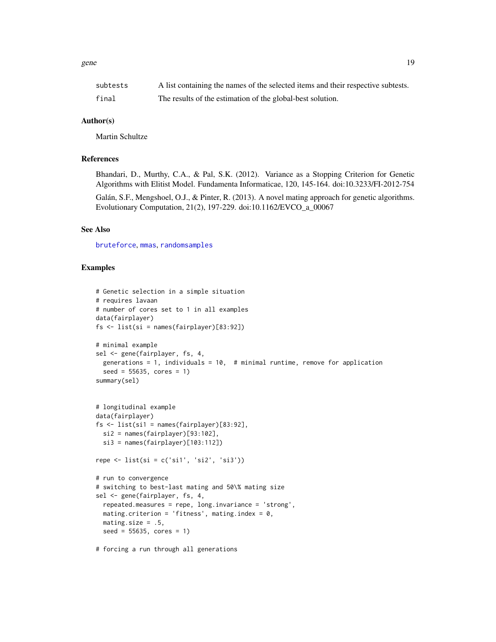<span id="page-18-0"></span>

| subtests | A list containing the names of the selected items and their respective subtests. |
|----------|----------------------------------------------------------------------------------|
| final    | The results of the estimation of the global-best solution.                       |

# Author(s)

Martin Schultze

#### References

Bhandari, D., Murthy, C.A., & Pal, S.K. (2012). Variance as a Stopping Criterion for Genetic Algorithms with Elitist Model. Fundamenta Informaticae, 120, 145-164. doi:10.3233/FI-2012-754

Galán, S.F., Mengshoel, O.J., & Pinter, R. (2013). A novel mating approach for genetic algorithms. Evolutionary Computation, 21(2), 197-229. doi:10.1162/EVCO\_a\_00067

# See Also

[bruteforce](#page-3-1), [mmas](#page-24-1), [randomsamples](#page-32-1)

# Examples

```
# Genetic selection in a simple situation
# requires lavaan
# number of cores set to 1 in all examples
data(fairplayer)
fs \leftarrow list(si = names(fairplayer)[83:92])# minimal example
sel <- gene(fairplayer, fs, 4,
  generations = 1, individuals = 10, # minimal runtime, remove for application
  seed = 55635, cores = 1)
summary(sel)
# longitudinal example
data(fairplayer)
fs <- list(si1 = names(fairplayer)[83:92],
  si2 = names(fairplayer)[93:102],
  si3 = names(fairplayer)[103:112])
repe \le list(si = c('si1', 'si2', 'si3'))
# run to convergence
# switching to best-last mating and 50\% mating size
sel <- gene(fairplayer, fs, 4,
  repeated.measures = repe, long.invariance = 'strong',
  mating.criterion = 'fitness', mating.index = 0,
  mating.size = .5,
  seed = 55635, cores = 1)
```
# forcing a run through all generations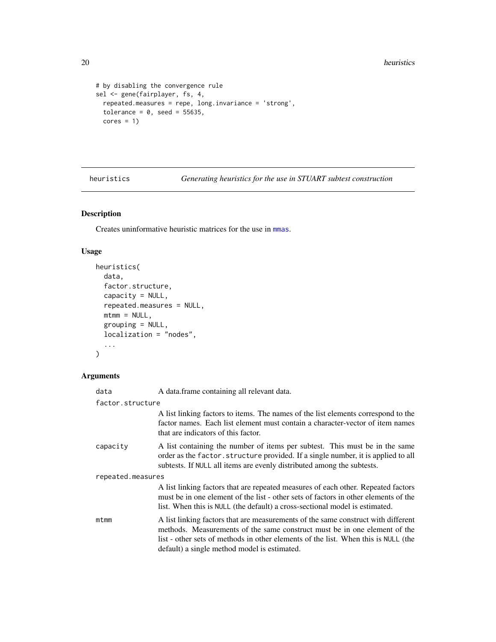```
# by disabling the convergence rule
sel <- gene(fairplayer, fs, 4,
  repeated.measures = repe, long.invariance = 'strong',
  tolerance = 0, seed = 55635,
  cores = 1)
```
<span id="page-19-1"></span>heuristics *Generating heuristics for the use in STUART subtest construction*

# Description

Creates uninformative heuristic matrices for the use in [mmas](#page-24-1).

# Usage

```
heuristics(
  data,
  factor.structure,
  capacity = NULL,
  repeated.measures = NULL,
  mtmm = NULL,grouping = NULL,
  localization = "nodes",
  ...
\mathcal{L}
```
# Arguments

| data              | A data. frame containing all relevant data.                                                                                                                                                                                                                                                          |  |
|-------------------|------------------------------------------------------------------------------------------------------------------------------------------------------------------------------------------------------------------------------------------------------------------------------------------------------|--|
| factor.structure  |                                                                                                                                                                                                                                                                                                      |  |
|                   | A list linking factors to items. The names of the list elements correspond to the<br>factor names. Each list element must contain a character-vector of item names<br>that are indicators of this factor.                                                                                            |  |
| capacity          | A list containing the number of items per subtest. This must be in the same<br>order as the factor. structure provided. If a single number, it is applied to all<br>subtests. If NULL all items are evenly distributed among the subtests.                                                           |  |
| repeated.measures |                                                                                                                                                                                                                                                                                                      |  |
|                   | A list linking factors that are repeated measures of each other. Repeated factors<br>must be in one element of the list - other sets of factors in other elements of the<br>list. When this is NULL (the default) a cross-sectional model is estimated.                                              |  |
| mtmm              | A list linking factors that are measurements of the same construct with different<br>methods. Measurements of the same construct must be in one element of the<br>list - other sets of methods in other elements of the list. When this is NULL (the<br>default) a single method model is estimated. |  |

<span id="page-19-0"></span>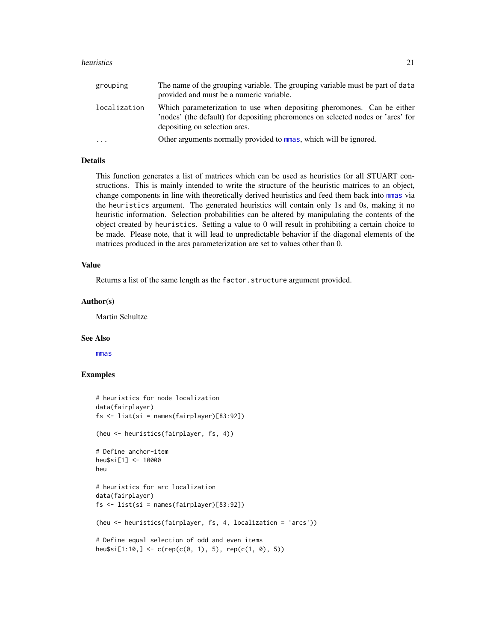#### <span id="page-20-0"></span>heuristics 21

| grouping     | The name of the grouping variable. The grouping variable must be part of data<br>provided and must be a numeric variable.                                                                   |
|--------------|---------------------------------------------------------------------------------------------------------------------------------------------------------------------------------------------|
| localization | Which parameterization to use when depositing pheromones. Can be either<br>'nodes' (the default) for depositing pheromones on selected nodes or 'arcs' for<br>depositing on selection arcs. |
| .            | Other arguments normally provided to mmas, which will be ignored.                                                                                                                           |

# Details

This function generates a list of matrices which can be used as heuristics for all STUART constructions. This is mainly intended to write the structure of the heuristic matrices to an object, change components in line with theoretically derived heuristics and feed them back into [mmas](#page-24-1) via the heuristics argument. The generated heuristics will contain only 1s and 0s, making it no heuristic information. Selection probabilities can be altered by manipulating the contents of the object created by heuristics. Setting a value to 0 will result in prohibiting a certain choice to be made. Please note, that it will lead to unpredictable behavior if the diagonal elements of the matrices produced in the arcs parameterization are set to values other than 0.

#### Value

Returns a list of the same length as the factor.structure argument provided.

#### Author(s)

Martin Schultze

#### See Also

[mmas](#page-24-1)

# Examples

```
# heuristics for node localization
data(fairplayer)
fs <- list(si = names(fairplayer)[83:92])
(heu <- heuristics(fairplayer, fs, 4))
# Define anchor-item
heu$si[1] <- 10000
heu
# heuristics for arc localization
data(fairplayer)
fs <- list(si = names(fairplayer)[83:92])
(heu <- heuristics(fairplayer, fs, 4, localization = 'arcs'))
# Define equal selection of odd and even items
heu$si[1:10,] <- c(rep(c(0, 1), 5), rep(c(1, 0), 5))
```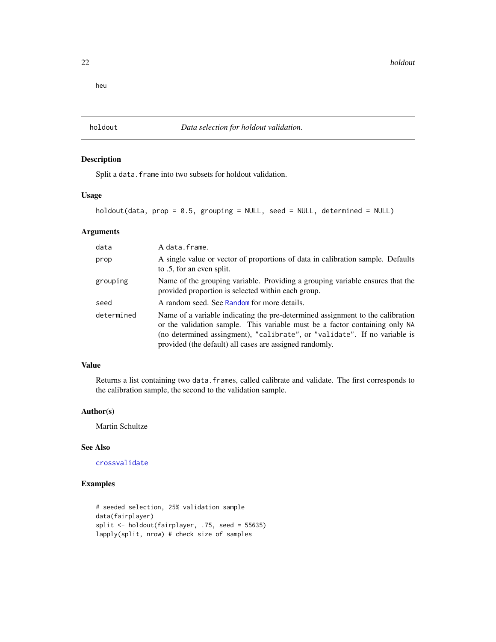<span id="page-21-0"></span>heu

<span id="page-21-1"></span>holdout *Data selection for holdout validation.*

# Description

Split a data. frame into two subsets for holdout validation.

# Usage

```
holdout(data, prop = 0.5, grouping = NULL, seed = NULL, determined = NULL)
```
#### Arguments

| data       | A data.frame.                                                                                                                                                                                                                                                                                         |
|------------|-------------------------------------------------------------------------------------------------------------------------------------------------------------------------------------------------------------------------------------------------------------------------------------------------------|
| prop       | A single value or vector of proportions of data in calibration sample. Defaults<br>to .5, for an even split.                                                                                                                                                                                          |
| grouping   | Name of the grouping variable. Providing a grouping variable ensures that the<br>provided proportion is selected within each group.                                                                                                                                                                   |
| seed       | A random seed. See Random for more details.                                                                                                                                                                                                                                                           |
| determined | Name of a variable indicating the pre-determined assignment to the calibration<br>or the validation sample. This variable must be a factor containing only NA<br>(no determined assingment), "calibrate", or "validate". If no variable is<br>provided (the default) all cases are assigned randomly. |

# Value

Returns a list containing two data.frames, called calibrate and validate. The first corresponds to the calibration sample, the second to the validation sample.

#### Author(s)

Martin Schultze

# See Also

[crossvalidate](#page-8-1)

# Examples

```
# seeded selection, 25% validation sample
data(fairplayer)
split <- holdout(fairplayer, .75, seed = 55635)
lapply(split, nrow) # check size of samples
```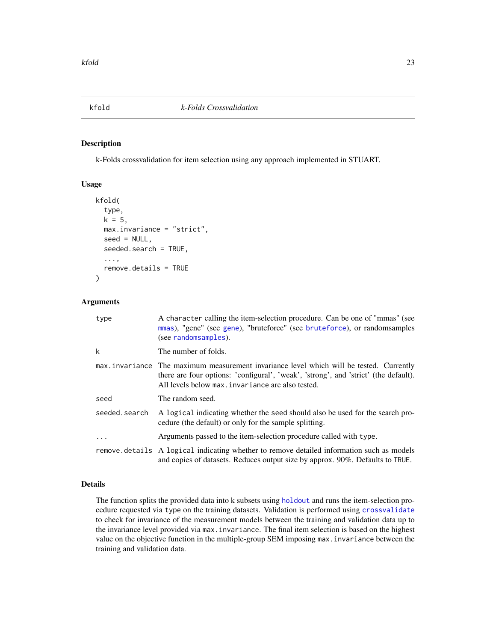<span id="page-22-1"></span><span id="page-22-0"></span>

#### Description

k-Folds crossvalidation for item selection using any approach implemented in STUART.

#### Usage

```
kfold(
  type,
  k = 5,
 max.invariance = "strict",
  seed = NULL,
  seeded.search = TRUE,
  ...,
  remove.details = TRUE
)
```
### Arguments

| type          | A character calling the item-selection procedure. Can be one of "mmas" (see<br>mmas), "gene" (see gene), "bruteforce" (see bruteforce), or randomsamples<br>(see randomsamples).                                                    |
|---------------|-------------------------------------------------------------------------------------------------------------------------------------------------------------------------------------------------------------------------------------|
| k             | The number of folds.                                                                                                                                                                                                                |
|               | max.invariance The maximum measurement invariance level which will be tested. Currently<br>there are four options: 'configural', 'weak', 'strong', and 'strict' (the default).<br>All levels below max. invariance are also tested. |
| seed          | The random seed.                                                                                                                                                                                                                    |
| seeded.search | A logical indicating whether the seed should also be used for the search pro-<br>cedure (the default) or only for the sample splitting.                                                                                             |
| .             | Arguments passed to the item-selection procedure called with type.                                                                                                                                                                  |
|               | remove details A logical indicating whether to remove detailed information such as models<br>and copies of datasets. Reduces output size by approx. 90%. Defaults to TRUE.                                                          |

# Details

The function splits the provided data into k subsets using [holdout](#page-21-1) and runs the item-selection procedure requested via type on the training datasets. Validation is performed using [crossvalidate](#page-8-1) to check for invariance of the measurement models between the training and validation data up to the invariance level provided via max.invariance. The final item selection is based on the highest value on the objective function in the multiple-group SEM imposing max. invariance between the training and validation data.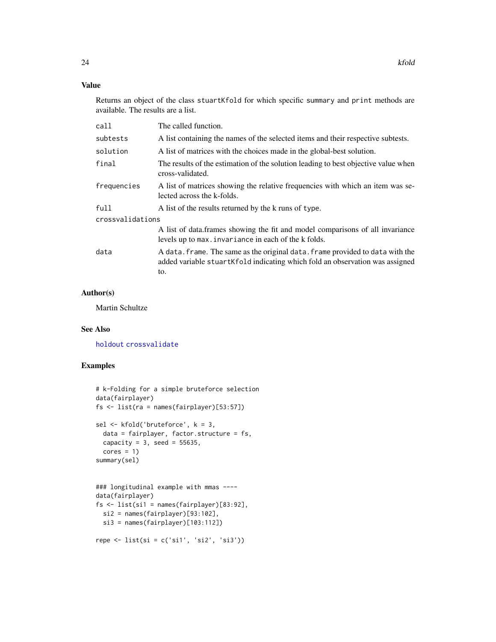# <span id="page-23-0"></span>Value

Returns an object of the class stuartKfold for which specific summary and print methods are available. The results are a list.

| call             | The called function.                                                                                                                                                 |  |
|------------------|----------------------------------------------------------------------------------------------------------------------------------------------------------------------|--|
| subtests         | A list containing the names of the selected items and their respective subtests.                                                                                     |  |
| solution         | A list of matrices with the choices made in the global-best solution.                                                                                                |  |
| final            | The results of the estimation of the solution leading to best objective value when<br>cross-validated.                                                               |  |
| frequencies      | A list of matrices showing the relative frequencies with which an item was se-<br>lected across the k-folds.                                                         |  |
| full             | A list of the results returned by the k runs of type.                                                                                                                |  |
| crossvalidations |                                                                                                                                                                      |  |
|                  | A list of data.frames showing the fit and model comparisons of all invariance<br>levels up to max. invariance in each of the k folds.                                |  |
| data             | A data. frame. The same as the original data. frame provided to data with the<br>added variable stuartKfold indicating which fold an observation was assigned<br>to. |  |

#### Author(s)

Martin Schultze

# See Also

[holdout](#page-21-1) [crossvalidate](#page-8-1)

# Examples

```
# k-Folding for a simple bruteforce selection
data(fairplayer)
fs <- list(ra = names(fairplayer)[53:57])
sel <- kfold('bruteforce', k = 3,
  data = fairplayer, factor.structure = fs,
 capacity = 3, seed = 55635,
 cores = 1)summary(sel)
### longitudinal example with mmas ----
data(fairplayer)
fs \le list(si1 = names(fairplayer)[83:92],
 si2 = names(fairplayer)[93:102],
  si3 = names(fairplayer)[103:112])
repe <- list(si = c('si1', 'si2', 'si3'))
```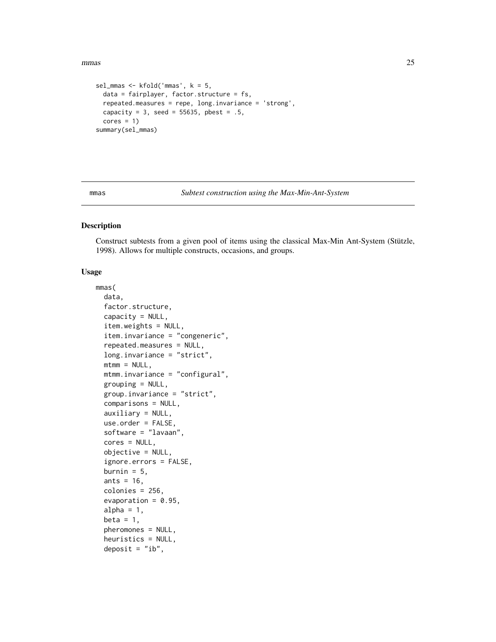<span id="page-24-0"></span>mmas 25

```
sel_mmas <- kfold('mmas', k = 5,
 data = fairplayer, factor.structure = fs,
 repeated.measures = repe, long.invariance = 'strong',
 capacity = 3, seed = 55635, pbest = .5,
 cores = 1)summary(sel_mmas)
```
#### <span id="page-24-1"></span>mmas *Subtest construction using the Max-Min-Ant-System*

#### Description

Construct subtests from a given pool of items using the classical Max-Min Ant-System (Stützle, 1998). Allows for multiple constructs, occasions, and groups.

# Usage

```
mmas(
  data,
  factor.structure,
  capacity = NULL,item.weights = NULL,
  item.invariance = "congeneric",
  repeated.measures = NULL,
  long.invariance = "strict",
  mtmm = NULL,mtmm.invariance = "configural",
  grouping = NULL,
  group.invariance = "strict",
  comparisons = NULL,
  auxiliary = NULL,
  use.order = FALSE,
  software = "lavaan",
  cores = NULL,
  objective = NULL,
  ignore.errors = FALSE,
  burnin = 5,
  ants = 16,
  colonies = 256,
  evaporation = 0.95,
  alpha = 1,
  beta = 1,
  pheromones = NULL,
  heuristics = NULL,
  deposit = "ib",
```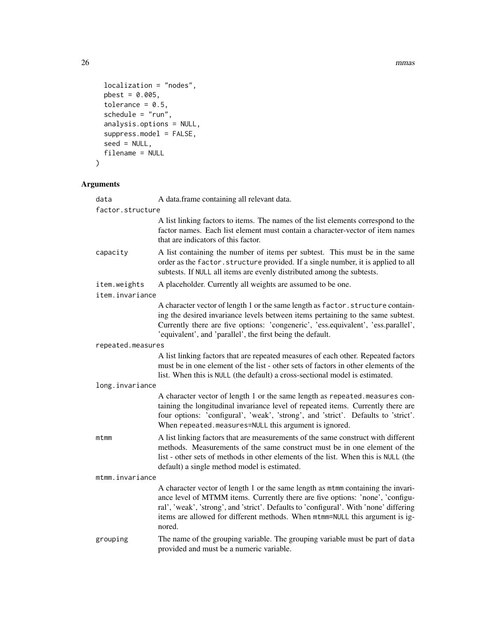26 mmas and the contract of the contract of the contract of the contract of the contract of the contract of the contract of the contract of the contract of the contract of the contract of the contract of the contract of th

```
localization = "nodes",
 pbest = 0.005,tolerance = 0.5,
 schedule = "run",analysis.options = NULL,
  suppress.model = FALSE,
 seed = NULL,
 filename = NULL
\mathcal{L}
```
# Arguments

| data              | A data.frame containing all relevant data.                                                                                                                                                                                                                                                                                                           |  |
|-------------------|------------------------------------------------------------------------------------------------------------------------------------------------------------------------------------------------------------------------------------------------------------------------------------------------------------------------------------------------------|--|
| factor.structure  |                                                                                                                                                                                                                                                                                                                                                      |  |
|                   | A list linking factors to items. The names of the list elements correspond to the<br>factor names. Each list element must contain a character-vector of item names<br>that are indicators of this factor.                                                                                                                                            |  |
| capacity          | A list containing the number of items per subtest. This must be in the same<br>order as the factor. structure provided. If a single number, it is applied to all<br>subtests. If NULL all items are evenly distributed among the subtests.                                                                                                           |  |
| item.weights      | A placeholder. Currently all weights are assumed to be one.                                                                                                                                                                                                                                                                                          |  |
| item.invariance   |                                                                                                                                                                                                                                                                                                                                                      |  |
|                   | A character vector of length 1 or the same length as factor. structure contain-<br>ing the desired invariance levels between items pertaining to the same subtest.<br>Currently there are five options: 'congeneric', 'ess.equivalent', 'ess.parallel',<br>'equivalent', and 'parallel', the first being the default.                                |  |
| repeated.measures |                                                                                                                                                                                                                                                                                                                                                      |  |
|                   | A list linking factors that are repeated measures of each other. Repeated factors<br>must be in one element of the list - other sets of factors in other elements of the<br>list. When this is NULL (the default) a cross-sectional model is estimated.                                                                                              |  |
| long.invariance   |                                                                                                                                                                                                                                                                                                                                                      |  |
|                   | A character vector of length 1 or the same length as repeated.measures con-<br>taining the longitudinal invariance level of repeated items. Currently there are<br>four options: 'configural', 'weak', 'strong', and 'strict'. Defaults to 'strict'.<br>When repeated.measures=NULL this argument is ignored.                                        |  |
| mtmm              | A list linking factors that are measurements of the same construct with different<br>methods. Measurements of the same construct must be in one element of the<br>list - other sets of methods in other elements of the list. When this is NULL (the<br>default) a single method model is estimated.                                                 |  |
| mtmm.invariance   |                                                                                                                                                                                                                                                                                                                                                      |  |
|                   | A character vector of length 1 or the same length as mtmm containing the invari-<br>ance level of MTMM items. Currently there are five options: 'none', 'configu-<br>ral', 'weak', 'strong', and 'strict'. Defaults to 'configural'. With 'none' differing<br>items are allowed for different methods. When mtmm=NULL this argument is ig-<br>nored. |  |
| grouping          | The name of the grouping variable. The grouping variable must be part of data<br>provided and must be a numeric variable.                                                                                                                                                                                                                            |  |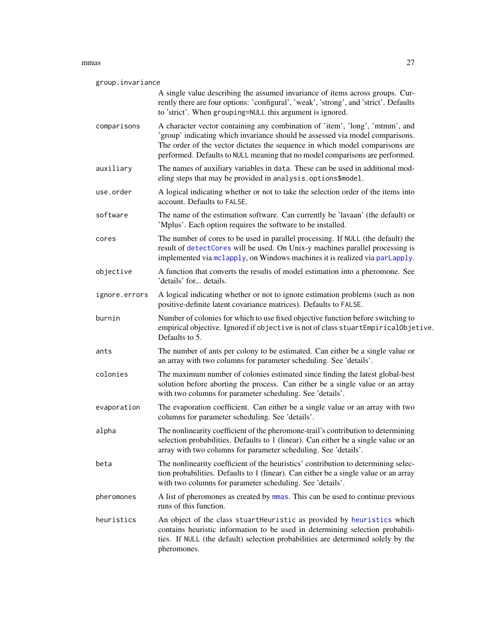#### <span id="page-26-0"></span>mmas 27

| group.invariance |                                                                                                                                                                                                                                                                                                                               |
|------------------|-------------------------------------------------------------------------------------------------------------------------------------------------------------------------------------------------------------------------------------------------------------------------------------------------------------------------------|
|                  | A single value describing the assumed invariance of items across groups. Cur-<br>rently there are four options: 'configural', 'weak', 'strong', and 'strict'. Defaults<br>to 'strict'. When grouping=NULL this argument is ignored.                                                                                           |
| comparisons      | A character vector containing any combination of 'item', 'long', 'mtmm', and<br>'group' indicating which invariance should be assessed via model comparisons.<br>The order of the vector dictates the sequence in which model comparisons are<br>performed. Defaults to NULL meaning that no model comparisons are performed. |
| auxiliary        | The names of auxiliary variables in data. These can be used in additional mod-<br>eling steps that may be provided in analysis.options\$model.                                                                                                                                                                                |
| use.order        | A logical indicating whether or not to take the selection order of the items into<br>account. Defaults to FALSE.                                                                                                                                                                                                              |
| software         | The name of the estimation software. Can currently be 'lavaan' (the default) or<br>'Mplus'. Each option requires the software to be installed.                                                                                                                                                                                |
| cores            | The number of cores to be used in parallel processing. If NULL (the default) the<br>result of detectCores will be used. On Unix-y machines parallel processing is<br>implemented via mclapply, on Windows machines it is realized via parlapply.                                                                              |
| objective        | A function that converts the results of model estimation into a pheromone. See<br>'details' for details.                                                                                                                                                                                                                      |
| ignore.errors    | A logical indicating whether or not to ignore estimation problems (such as non<br>positive-definite latent covariance matrices). Defaults to FALSE.                                                                                                                                                                           |
| burnin           | Number of colonies for which to use fixed objective function before switching to<br>empirical objective. Ignored if objective is not of class stuartEmpiricalObjetive.<br>Defaults to 5.                                                                                                                                      |
| ants             | The number of ants per colony to be estimated. Can either be a single value or<br>an array with two columns for parameter scheduling. See 'details'.                                                                                                                                                                          |
| colonies         | The maximum number of colonies estimated since finding the latest global-best<br>solution before aborting the process. Can either be a single value or an array<br>with two columns for parameter scheduling. See 'details'.                                                                                                  |
| evaporation      | The evaporation coefficient. Can either be a single value or an array with two<br>columns for parameter scheduling. See 'details'.                                                                                                                                                                                            |
| alpha            | The nonlinearity coefficient of the pheromone-trail's contribution to determining<br>selection probabilities. Defaults to 1 (linear). Can either be a single value or an<br>array with two columns for parameter scheduling. See 'details'.                                                                                   |
| beta             | The nonlinearity coefficient of the heuristics' contribution to determining selec-<br>tion probabilities. Defaults to 1 (linear). Can either be a single value or an array<br>with two columns for parameter scheduling. See 'details'.                                                                                       |
| pheromones       | A list of pheromones as created by mmas. This can be used to continue previous<br>runs of this function.                                                                                                                                                                                                                      |
| heuristics       | An object of the class stuartHeuristic as provided by heuristics which<br>contains heuristic information to be used in determining selection probabili-<br>ties. If NULL (the default) selection probabilities are determined solely by the<br>pheromones.                                                                    |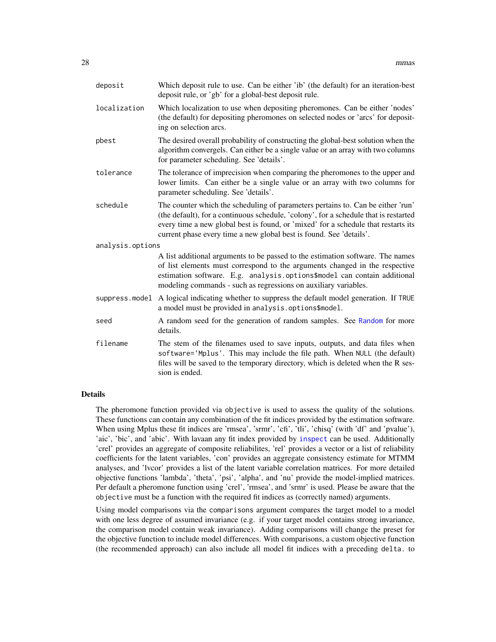<span id="page-27-0"></span>

| deposit          | Which deposit rule to use. Can be either 'ib' (the default) for an iteration-best<br>deposit rule, or 'gb' for a global-best deposit rule.                                                                                                                                                                                           |
|------------------|--------------------------------------------------------------------------------------------------------------------------------------------------------------------------------------------------------------------------------------------------------------------------------------------------------------------------------------|
| localization     | Which localization to use when depositing pheromones. Can be either 'nodes'<br>(the default) for depositing pheromones on selected nodes or 'arcs' for deposit-<br>ing on selection arcs.                                                                                                                                            |
| pbest            | The desired overall probability of constructing the global-best solution when the<br>algorithm convergels. Can either be a single value or an array with two columns<br>for parameter scheduling. See 'details'.                                                                                                                     |
| tolerance        | The tolerance of imprecision when comparing the pheromones to the upper and<br>lower limits. Can either be a single value or an array with two columns for<br>parameter scheduling. See 'details'.                                                                                                                                   |
| schedule         | The counter which the scheduling of parameters pertains to. Can be either 'run'<br>(the default), for a continuous schedule, 'colony', for a schedule that is restarted<br>every time a new global best is found, or 'mixed' for a schedule that restarts its<br>current phase every time a new global best is found. See 'details'. |
| analysis.options |                                                                                                                                                                                                                                                                                                                                      |
|                  | A list additional arguments to be passed to the estimation software. The names<br>of list elements must correspond to the arguments changed in the respective<br>estimation software. E.g. analysis.options\$model can contain additional<br>modeling commands - such as regressions on auxiliary variables.                         |
|                  | suppress model A logical indicating whether to suppress the default model generation. If TRUE<br>a model must be provided in analysis.options\$model.                                                                                                                                                                                |
| seed             | A random seed for the generation of random samples. See Random for more<br>details.                                                                                                                                                                                                                                                  |
| filename         | The stem of the filenames used to save inputs, outputs, and data files when<br>software='Mplus'. This may include the file path. When NULL (the default)<br>files will be saved to the temporary directory, which is deleted when the R ses-<br>sion is ended.                                                                       |

## **Details**

The pheromone function provided via objective is used to assess the quality of the solutions. These functions can contain any combination of the fit indices provided by the estimation software. When using Mplus these fit indices are 'rmsea', 'srmr', 'cfi', 'tli', 'chisq' (with 'df' and 'pvalue'), 'aic', 'bic', and 'abic'. With lavaan any fit index provided by [inspect](#page-0-0) can be used. Additionally 'crel' provides an aggregate of composite reliabilites, 'rel' provides a vector or a list of reliability coefficients for the latent variables, 'con' provides an aggregate consistency estimate for MTMM analyses, and 'lvcor' provides a list of the latent variable correlation matrices. For more detailed objective functions 'lambda', 'theta', 'psi', 'alpha', and 'nu' provide the model-implied matrices. Per default a pheromone function using 'crel', 'rmsea', and 'srmr' is used. Please be aware that the objective must be a function with the required fit indices as (correctly named) arguments.

Using model comparisons via the comparisons argument compares the target model to a model with one less degree of assumed invariance (e.g. if your target model contains strong invariance, the comparison model contain weak invariance). Adding comparisons will change the preset for the objective function to include model differences. With comparisons, a custom objective function (the recommended approach) can also include all model fit indices with a preceding delta. to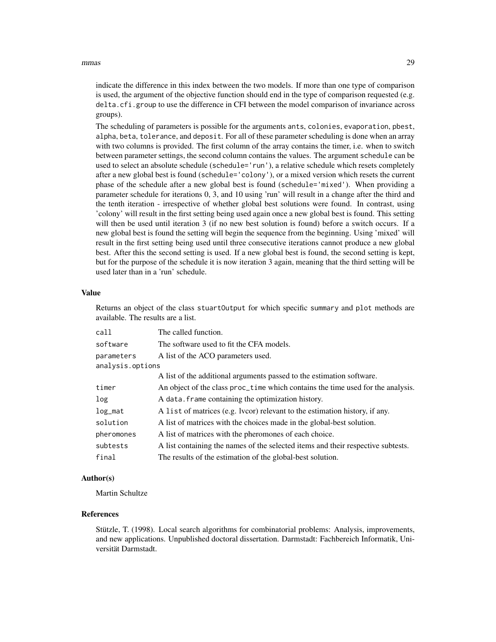#### mmas 29

indicate the difference in this index between the two models. If more than one type of comparison is used, the argument of the objective function should end in the type of comparison requested (e.g. delta.cfi.group to use the difference in CFI between the model comparison of invariance across groups).

The scheduling of parameters is possible for the arguments ants, colonies, evaporation, pbest, alpha, beta, tolerance, and deposit. For all of these parameter scheduling is done when an array with two columns is provided. The first column of the array contains the timer, i.e. when to switch between parameter settings, the second column contains the values. The argument schedule can be used to select an absolute schedule (schedule='run'), a relative schedule which resets completely after a new global best is found (schedule='colony'), or a mixed version which resets the current phase of the schedule after a new global best is found (schedule='mixed'). When providing a parameter schedule for iterations 0, 3, and 10 using 'run' will result in a change after the third and the tenth iteration - irrespective of whether global best solutions were found. In contrast, using 'colony' will result in the first setting being used again once a new global best is found. This setting will then be used until iteration 3 (if no new best solution is found) before a switch occurs. If a new global best is found the setting will begin the sequence from the beginning. Using 'mixed' will result in the first setting being used until three consecutive iterations cannot produce a new global best. After this the second setting is used. If a new global best is found, the second setting is kept, but for the purpose of the schedule it is now iteration 3 again, meaning that the third setting will be used later than in a 'run' schedule.

#### Value

Returns an object of the class stuartOutput for which specific summary and plot methods are available. The results are a list.

| call             | The called function.                                                             |
|------------------|----------------------------------------------------------------------------------|
| software         | The software used to fit the CFA models.                                         |
| parameters       | A list of the ACO parameters used.                                               |
| analysis.options |                                                                                  |
|                  | A list of the additional arguments passed to the estimation software.            |
| timer            | An object of the class proc_time which contains the time used for the analysis.  |
| log              | A data. frame containing the optimization history.                               |
| $log\_mat$       | A list of matrices (e.g. lvcor) relevant to the estimation history, if any.      |
| solution         | A list of matrices with the choices made in the global-best solution.            |
| pheromones       | A list of matrices with the pheromones of each choice.                           |
| subtests         | A list containing the names of the selected items and their respective subtests. |
| final            | The results of the estimation of the global-best solution.                       |

#### Author(s)

Martin Schultze

#### References

Stützle, T. (1998). Local search algorithms for combinatorial problems: Analysis, improvements, and new applications. Unpublished doctoral dissertation. Darmstadt: Fachbereich Informatik, Universität Darmstadt.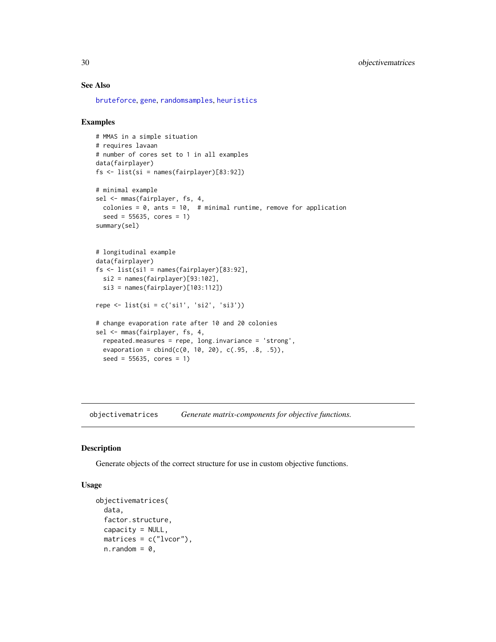# See Also

[bruteforce](#page-3-1), [gene](#page-12-1), [randomsamples](#page-32-1), [heuristics](#page-19-1)

#### Examples

```
# MMAS in a simple situation
# requires lavaan
# number of cores set to 1 in all examples
data(fairplayer)
fs <- list(si = names(fairplayer)[83:92])
# minimal example
sel <- mmas(fairplayer, fs, 4,
  colonies = 0, ants = 10, # minimal runtime, remove for application
  seed = 55635, cores = 1)
summary(sel)
# longitudinal example
data(fairplayer)
fs <- list(si1 = names(fairplayer)[83:92],
  si2 = names(fairplayer)[93:102],
  si3 = names(fairplayer)[103:112])
repe <- list(si = c('si1', 'si2', 'si3'))
# change evaporation rate after 10 and 20 colonies
sel <- mmas(fairplayer, fs, 4,
  repeated.measures = repe, long.invariance = 'strong',
  evaporation = cbind(c(0, 10, 20), c(.95, .8, .5)),seed = 55635, cores = 1)
```
<span id="page-29-1"></span>objectivematrices *Generate matrix-components for objective functions.*

#### Description

Generate objects of the correct structure for use in custom objective functions.

# Usage

```
objectivematrices(
  data,
  factor.structure,
  capacity = NULL,
 matrices = c("lvcor"),
 n.random = 0,
```
<span id="page-29-0"></span>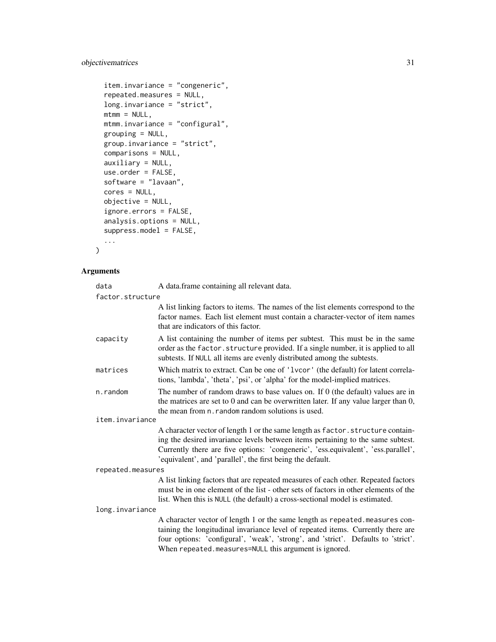# objectivematrices 31

```
item.invariance = "congeneric",
repeated.measures = NULL,
long.invariance = "strict",
mtmm = NULL,mtmm.invariance = "configural",
grouping = NULL,
group.invariance = "strict",
comparisons = NULL,
auxiliary = NULL,
use.order = FALSE,
software = "lavaan",
cores = NULL,
objective = NULL,
ignore.errors = FALSE,
analysis.options = NULL,
suppress.model = FALSE,...
```
# Arguments

 $\mathcal{L}$ 

| data              | A data.frame containing all relevant data.                                                                                                                                                                                                                                                                            |  |
|-------------------|-----------------------------------------------------------------------------------------------------------------------------------------------------------------------------------------------------------------------------------------------------------------------------------------------------------------------|--|
| factor.structure  |                                                                                                                                                                                                                                                                                                                       |  |
|                   | A list linking factors to items. The names of the list elements correspond to the<br>factor names. Each list element must contain a character-vector of item names<br>that are indicators of this factor.                                                                                                             |  |
| capacity          | A list containing the number of items per subtest. This must be in the same<br>order as the factor. structure provided. If a single number, it is applied to all<br>subtests. If NULL all items are evenly distributed among the subtests.                                                                            |  |
| matrices          | Which matrix to extract. Can be one of '1vcor' (the default) for latent correla-<br>tions, 'lambda', 'theta', 'psi', or 'alpha' for the model-implied matrices.                                                                                                                                                       |  |
| n.random          | The number of random draws to base values on. If $0$ (the default) values are in<br>the matrices are set to $0$ and can be overwritten later. If any value larger than $0$ ,<br>the mean from n. random random solutions is used.                                                                                     |  |
| item.invariance   |                                                                                                                                                                                                                                                                                                                       |  |
|                   | A character vector of length 1 or the same length as factor. structure contain-<br>ing the desired invariance levels between items pertaining to the same subtest.<br>Currently there are five options: 'congeneric', 'ess.equivalent', 'ess.parallel',<br>'equivalent', and 'parallel', the first being the default. |  |
| repeated.measures |                                                                                                                                                                                                                                                                                                                       |  |
|                   | A list linking factors that are repeated measures of each other. Repeated factors<br>must be in one element of the list - other sets of factors in other elements of the<br>list. When this is NULL (the default) a cross-sectional model is estimated.                                                               |  |
| long.invariance   |                                                                                                                                                                                                                                                                                                                       |  |
|                   | A character vector of length 1 or the same length as repeated.measures con-<br>taining the longitudinal invariance level of repeated items. Currently there are<br>four options: 'configural', 'weak', 'strong', and 'strict'. Defaults to 'strict'.<br>When repeated.measures=NULL this argument is ignored.         |  |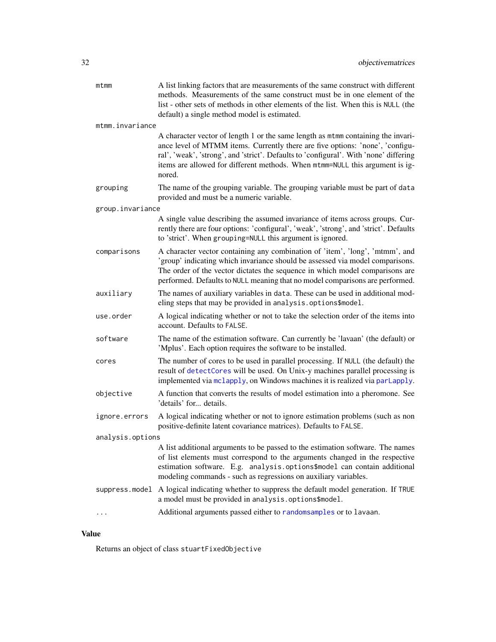<span id="page-31-0"></span>

| mtmm             | A list linking factors that are measurements of the same construct with different<br>methods. Measurements of the same construct must be in one element of the<br>list - other sets of methods in other elements of the list. When this is NULL (the<br>default) a single method model is estimated.                                                 |
|------------------|------------------------------------------------------------------------------------------------------------------------------------------------------------------------------------------------------------------------------------------------------------------------------------------------------------------------------------------------------|
| mtmm.invariance  |                                                                                                                                                                                                                                                                                                                                                      |
|                  | A character vector of length 1 or the same length as mtmm containing the invari-<br>ance level of MTMM items. Currently there are five options: 'none', 'configu-<br>ral', 'weak', 'strong', and 'strict'. Defaults to 'configural'. With 'none' differing<br>items are allowed for different methods. When mtmm=NULL this argument is ig-<br>nored. |
| grouping         | The name of the grouping variable. The grouping variable must be part of data<br>provided and must be a numeric variable.                                                                                                                                                                                                                            |
| group.invariance |                                                                                                                                                                                                                                                                                                                                                      |
|                  | A single value describing the assumed invariance of items across groups. Cur-<br>rently there are four options: 'configural', 'weak', 'strong', and 'strict'. Defaults<br>to 'strict'. When grouping=NULL this argument is ignored.                                                                                                                  |
| comparisons      | A character vector containing any combination of 'item', 'long', 'mtmm', and<br>'group' indicating which invariance should be assessed via model comparisons.<br>The order of the vector dictates the sequence in which model comparisons are<br>performed. Defaults to NULL meaning that no model comparisons are performed.                        |
| auxiliary        | The names of auxiliary variables in data. These can be used in additional mod-<br>eling steps that may be provided in analysis.options\$model.                                                                                                                                                                                                       |
| use.order        | A logical indicating whether or not to take the selection order of the items into<br>account. Defaults to FALSE.                                                                                                                                                                                                                                     |
| software         | The name of the estimation software. Can currently be 'lavaan' (the default) or<br>'Mplus'. Each option requires the software to be installed.                                                                                                                                                                                                       |
| cores            | The number of cores to be used in parallel processing. If NULL (the default) the<br>result of detectCores will be used. On Unix-y machines parallel processing is<br>implemented via mclapply, on Windows machines it is realized via parlapply.                                                                                                     |
| objective        | A function that converts the results of model estimation into a pheromone. See<br>'details' for details.                                                                                                                                                                                                                                             |
| ignore.errors    | A logical indicating whether or not to ignore estimation problems (such as non<br>positive-definite latent covariance matrices). Defaults to FALSE.                                                                                                                                                                                                  |
| analysis.options |                                                                                                                                                                                                                                                                                                                                                      |
|                  | A list additional arguments to be passed to the estimation software. The names<br>of list elements must correspond to the arguments changed in the respective<br>estimation software. E.g. analysis.options\$model can contain additional<br>modeling commands - such as regressions on auxiliary variables.                                         |
|                  | suppress model A logical indicating whether to suppress the default model generation. If TRUE<br>a model must be provided in analysis.options\$model.                                                                                                                                                                                                |
|                  | Additional arguments passed either to randomsamples or to lavaan.                                                                                                                                                                                                                                                                                    |

# Value

Returns an object of class stuartFixedObjective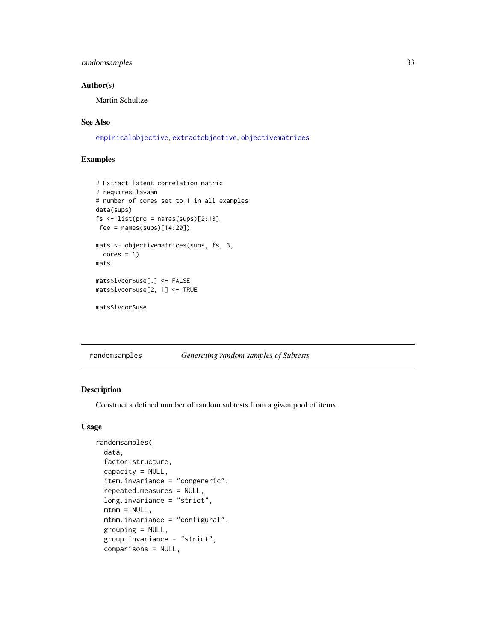# <span id="page-32-0"></span>randomsamples 33

# Author(s)

Martin Schultze

# See Also

[empiricalobjective](#page-9-1), [extractobjective](#page-0-0), [objectivematrices](#page-29-1)

# Examples

```
# Extract latent correlation matric
# requires lavaan
# number of cores set to 1 in all examples
data(sups)
fs \leftarrow list(pro = names(sups)[2:13],fee = names(sups)[14:20])
mats <- objectivematrices(sups, fs, 3,
  cores = 1)mats
mats$lvcor$use[,] <- FALSE
mats$lvcor$use[2, 1] <- TRUE
```

```
mats$lvcor$use
```
<span id="page-32-1"></span>randomsamples *Generating random samples of Subtests*

#### Description

Construct a defined number of random subtests from a given pool of items.

# Usage

```
randomsamples(
 data,
  factor.structure,
 capacity = NULL,
  item.invariance = "congeneric",
  repeated.measures = NULL,
  long.invariance = "strict",
 mtmm = NULL,mtmm.invariance = "configural",
 grouping = NULL,
  group.invariance = "strict",
  comparisons = NULL,
```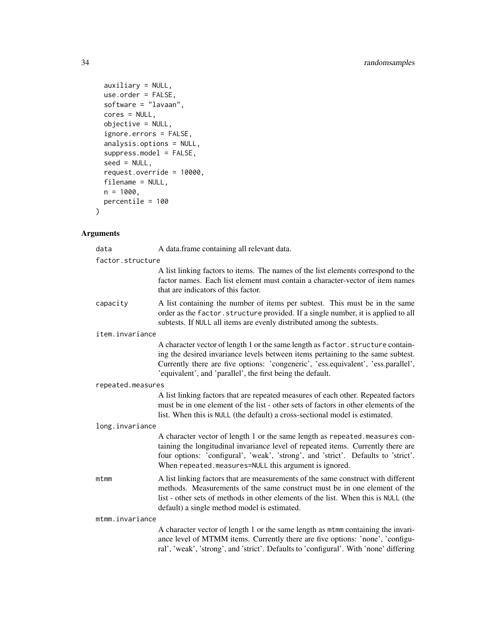```
auxiliary = NULL,
 use.order = FALSE,
 software = "lavaan",
 cores = NULL,
 objective = NULL,
 ignore.errors = FALSE,
 analysis.options = NULL,
 suppress.model = FALSE,
 seed = NULL,
 request.override = 10000,
 filename = NULL,
 n = 1000,percentile = 100
)
```
# Arguments

| data              | A data.frame containing all relevant data.                                                                                                                                                                                                                                                                            |
|-------------------|-----------------------------------------------------------------------------------------------------------------------------------------------------------------------------------------------------------------------------------------------------------------------------------------------------------------------|
| factor.structure  |                                                                                                                                                                                                                                                                                                                       |
|                   | A list linking factors to items. The names of the list elements correspond to the<br>factor names. Each list element must contain a character-vector of item names<br>that are indicators of this factor.                                                                                                             |
| capacity          | A list containing the number of items per subtest. This must be in the same<br>order as the factor. structure provided. If a single number, it is applied to all<br>subtests. If NULL all items are evenly distributed among the subtests.                                                                            |
| item.invariance   |                                                                                                                                                                                                                                                                                                                       |
|                   | A character vector of length 1 or the same length as factor. structure contain-<br>ing the desired invariance levels between items pertaining to the same subtest.<br>Currently there are five options: 'congeneric', 'ess.equivalent', 'ess.parallel',<br>'equivalent', and 'parallel', the first being the default. |
| repeated.measures |                                                                                                                                                                                                                                                                                                                       |
|                   | A list linking factors that are repeated measures of each other. Repeated factors<br>must be in one element of the list - other sets of factors in other elements of the<br>list. When this is NULL (the default) a cross-sectional model is estimated.                                                               |
| long.invariance   |                                                                                                                                                                                                                                                                                                                       |
|                   | A character vector of length 1 or the same length as repeated measures con-<br>taining the longitudinal invariance level of repeated items. Currently there are<br>four options: 'configural', 'weak', 'strong', and 'strict'. Defaults to 'strict'.<br>When repeated.measures=NULL this argument is ignored.         |
| mtmm              | A list linking factors that are measurements of the same construct with different<br>methods. Measurements of the same construct must be in one element of the<br>list - other sets of methods in other elements of the list. When this is NULL (the<br>default) a single method model is estimated.                  |
| mtmm.invariance   |                                                                                                                                                                                                                                                                                                                       |
|                   | A character vector of length 1 or the same length as mtmm containing the invari-<br>ance level of MTMM items. Currently there are five options: 'none', 'configu-<br>ral', 'weak', 'strong', and 'strict'. Defaults to 'configural'. With 'none' differing                                                            |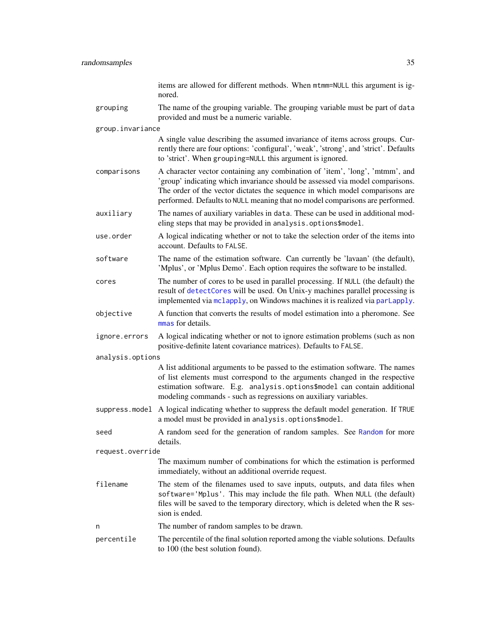<span id="page-34-0"></span>

|                  | items are allowed for different methods. When mtmm=NULL this argument is ig-<br>nored.                                                                                                                                                                                                                                        |
|------------------|-------------------------------------------------------------------------------------------------------------------------------------------------------------------------------------------------------------------------------------------------------------------------------------------------------------------------------|
| grouping         | The name of the grouping variable. The grouping variable must be part of data<br>provided and must be a numeric variable.                                                                                                                                                                                                     |
| group.invariance |                                                                                                                                                                                                                                                                                                                               |
|                  | A single value describing the assumed invariance of items across groups. Cur-<br>rently there are four options: 'configural', 'weak', 'strong', and 'strict'. Defaults<br>to 'strict'. When grouping=NULL this argument is ignored.                                                                                           |
| comparisons      | A character vector containing any combination of 'item', 'long', 'mtmm', and<br>'group' indicating which invariance should be assessed via model comparisons.<br>The order of the vector dictates the sequence in which model comparisons are<br>performed. Defaults to NULL meaning that no model comparisons are performed. |
| auxiliary        | The names of auxiliary variables in data. These can be used in additional mod-<br>eling steps that may be provided in analysis.options\$model.                                                                                                                                                                                |
| use.order        | A logical indicating whether or not to take the selection order of the items into<br>account. Defaults to FALSE.                                                                                                                                                                                                              |
| software         | The name of the estimation software. Can currently be 'lavaan' (the default),<br>'Mplus', or 'Mplus Demo'. Each option requires the software to be installed.                                                                                                                                                                 |
| cores            | The number of cores to be used in parallel processing. If NULL (the default) the<br>result of detectCores will be used. On Unix-y machines parallel processing is<br>implemented via mclapply, on Windows machines it is realized via parLapply.                                                                              |
| objective        | A function that converts the results of model estimation into a pheromone. See<br>mmas for details.                                                                                                                                                                                                                           |
| ignore.errors    | A logical indicating whether or not to ignore estimation problems (such as non<br>positive-definite latent covariance matrices). Defaults to FALSE.                                                                                                                                                                           |
| analysis.options |                                                                                                                                                                                                                                                                                                                               |
|                  | A list additional arguments to be passed to the estimation software. The names<br>of list elements must correspond to the arguments changed in the respective<br>estimation software. E.g. analysis.options\$model can contain additional<br>modeling commands - such as regressions on auxiliary variables.                  |
| suppress.model   | A logical indicating whether to suppress the default model generation. If TRUE<br>a model must be provided in analysis.options\$model.                                                                                                                                                                                        |
| seed             | A random seed for the generation of random samples. See Random for more<br>details.                                                                                                                                                                                                                                           |
| request.override |                                                                                                                                                                                                                                                                                                                               |
|                  | The maximum number of combinations for which the estimation is performed<br>immediately, without an additional override request.                                                                                                                                                                                              |
| filename         | The stem of the filenames used to save inputs, outputs, and data files when<br>software='Mplus'. This may include the file path. When NULL (the default)<br>files will be saved to the temporary directory, which is deleted when the R ses-<br>sion is ended.                                                                |
| n                | The number of random samples to be drawn.                                                                                                                                                                                                                                                                                     |
| percentile       | The percentile of the final solution reported among the viable solutions. Defaults<br>to 100 (the best solution found).                                                                                                                                                                                                       |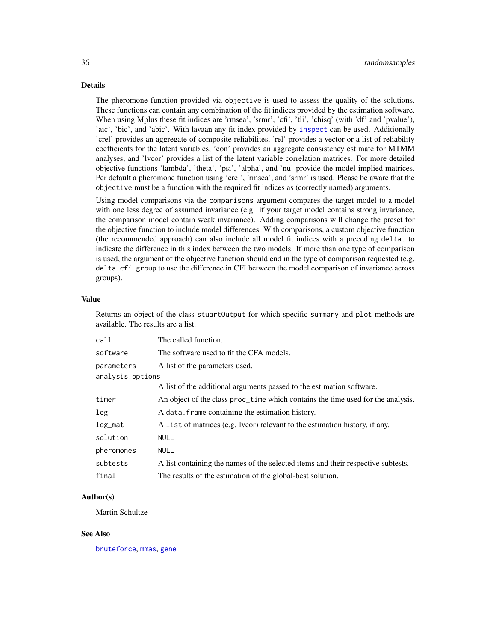# <span id="page-35-0"></span>Details

The pheromone function provided via objective is used to assess the quality of the solutions. These functions can contain any combination of the fit indices provided by the estimation software. When using Mplus these fit indices are 'rmsea', 'srmr', 'cfi', 'tli', 'chisq' (with 'df' and 'pvalue'), 'aic', 'bic', and 'abic'. With lavaan any fit index provided by [inspect](#page-0-0) can be used. Additionally 'crel' provides an aggregate of composite reliabilites, 'rel' provides a vector or a list of reliability coefficients for the latent variables, 'con' provides an aggregate consistency estimate for MTMM analyses, and 'lvcor' provides a list of the latent variable correlation matrices. For more detailed objective functions 'lambda', 'theta', 'psi', 'alpha', and 'nu' provide the model-implied matrices. Per default a pheromone function using 'crel', 'rmsea', and 'srmr' is used. Please be aware that the objective must be a function with the required fit indices as (correctly named) arguments.

Using model comparisons via the comparisons argument compares the target model to a model with one less degree of assumed invariance (e.g. if your target model contains strong invariance, the comparison model contain weak invariance). Adding comparisons will change the preset for the objective function to include model differences. With comparisons, a custom objective function (the recommended approach) can also include all model fit indices with a preceding delta. to indicate the difference in this index between the two models. If more than one type of comparison is used, the argument of the objective function should end in the type of comparison requested (e.g. delta.cfi.group to use the difference in CFI between the model comparison of invariance across groups).

#### Value

Returns an object of the class stuartOutput for which specific summary and plot methods are available. The results are a list.

| call             | The called function.                                                             |  |
|------------------|----------------------------------------------------------------------------------|--|
| software         | The software used to fit the CFA models.                                         |  |
| parameters       | A list of the parameters used.                                                   |  |
| analysis.options |                                                                                  |  |
|                  | A list of the additional arguments passed to the estimation software.            |  |
| timer            | An object of the class proc_time which contains the time used for the analysis.  |  |
| log              | A data. Frame containing the estimation history.                                 |  |
| $log\_mat$       | A list of matrices (e.g. lvcor) relevant to the estimation history, if any.      |  |
| solution         | <b>NULL</b>                                                                      |  |
| pheromones       | <b>NULL</b>                                                                      |  |
| subtests         | A list containing the names of the selected items and their respective subtests. |  |
| final            | The results of the estimation of the global-best solution.                       |  |

# Author(s)

Martin Schultze

#### See Also

[bruteforce](#page-3-1), [mmas](#page-24-1), [gene](#page-12-1)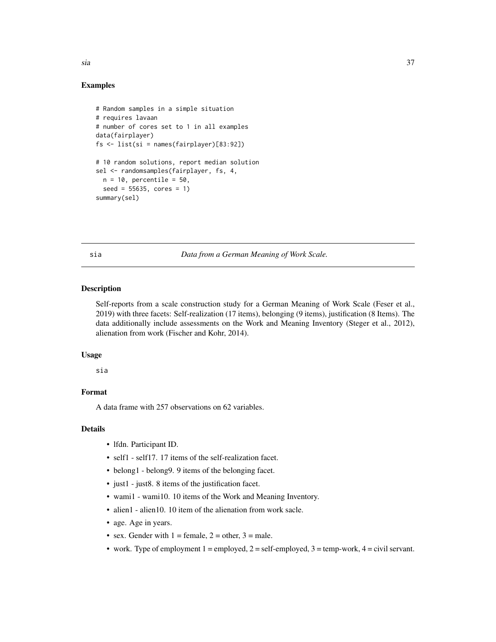<span id="page-36-0"></span>Examples

```
# Random samples in a simple situation
# requires lavaan
# number of cores set to 1 in all examples
data(fairplayer)
fs <- list(si = names(fairplayer)[83:92])
# 10 random solutions, report median solution
sel <- randomsamples(fairplayer, fs, 4,
 n = 10, percentile = 50,
 seed = 55635, cores = 1)
summary(sel)
```
<span id="page-36-1"></span>sia *Data from a German Meaning of Work Scale.*

#### Description

Self-reports from a scale construction study for a German Meaning of Work Scale (Feser et al., 2019) with three facets: Self-realization (17 items), belonging (9 items), justification (8 Items). The data additionally include assessments on the Work and Meaning Inventory (Steger et al., 2012), alienation from work (Fischer and Kohr, 2014).

#### Usage

sia

# Format

A data frame with 257 observations on 62 variables.

# Details

- lfdn. Participant ID.
- self1 self17. 17 items of the self-realization facet.
- belong1 belong9. 9 items of the belonging facet.
- just1 just8. 8 items of the justification facet.
- wami1 wami10. 10 items of the Work and Meaning Inventory.
- alien1 alien10. 10 item of the alienation from work sacle.
- age. Age in years.
- sex. Gender with  $1 = \text{female}, 2 = \text{other}, 3 = \text{male}.$
- work. Type of employment  $1 =$  employed,  $2 =$  self-employed,  $3 =$  temp-work,  $4 =$  civil servant.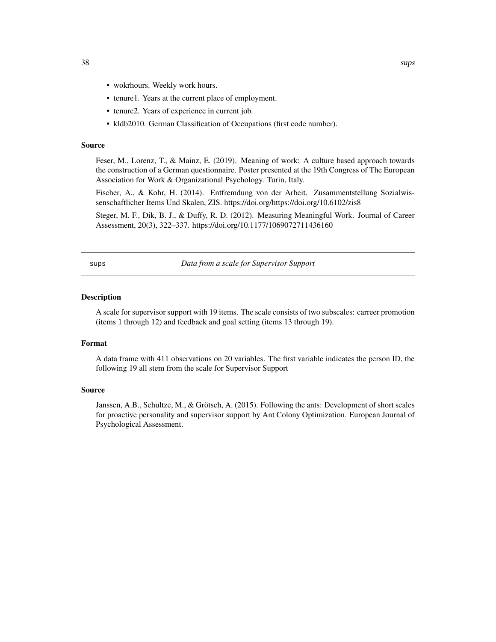- <span id="page-37-0"></span>• wokrhours. Weekly work hours.
- tenure1. Years at the current place of employment.
- tenure2. Years of experience in current job.
- kldb2010. German Classification of Occupations (first code number).

#### Source

Feser, M., Lorenz, T., & Mainz, E. (2019). Meaning of work: A culture based approach towards the construction of a German questionnaire. Poster presented at the 19th Congress of The European Association for Work & Organizational Psychology. Turin, Italy.

Fischer, A., & Kohr, H. (2014). Entfremdung von der Arbeit. Zusammentstellung Sozialwissenschaftlicher Items Und Skalen, ZIS. https://doi.org/https://doi.org/10.6102/zis8

Steger, M. F., Dik, B. J., & Duffy, R. D. (2012). Measuring Meaningful Work. Journal of Career Assessment, 20(3), 322–337. https://doi.org/10.1177/1069072711436160

<span id="page-37-1"></span>sups *Data from a scale for Supervisor Support*

#### Description

A scale for supervisor support with 19 items. The scale consists of two subscales: carreer promotion (items 1 through 12) and feedback and goal setting (items 13 through 19).

# Format

A data frame with 411 observations on 20 variables. The first variable indicates the person ID, the following 19 all stem from the scale for Supervisor Support

#### Source

Janssen, A.B., Schultze, M., & Grötsch, A. (2015). Following the ants: Development of short scales for proactive personality and supervisor support by Ant Colony Optimization. European Journal of Psychological Assessment.